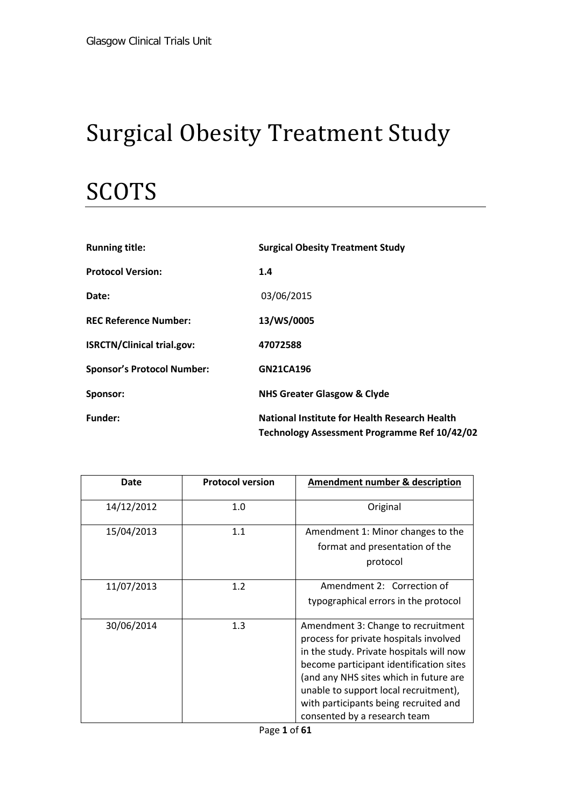## Surgical Obesity Treatment Study

# SCOTS

| <b>Running title:</b>             | <b>Surgical Obesity Treatment Study</b>                                                              |  |
|-----------------------------------|------------------------------------------------------------------------------------------------------|--|
| <b>Protocol Version:</b>          | 1.4                                                                                                  |  |
| Date:                             | 03/06/2015                                                                                           |  |
| <b>REC Reference Number:</b>      | 13/WS/0005                                                                                           |  |
| <b>ISRCTN/Clinical trial.gov:</b> | 47072588                                                                                             |  |
| <b>Sponsor's Protocol Number:</b> | <b>GN21CA196</b>                                                                                     |  |
| Sponsor:                          | <b>NHS Greater Glasgow &amp; Clyde</b>                                                               |  |
| <b>Funder:</b>                    | <b>National Institute for Health Research Health</b><br>Technology Assessment Programme Ref 10/42/02 |  |

| Date       | <b>Protocol version</b> | <b>Amendment number &amp; description</b>                                                                                                                                                                                                                                                                                       |
|------------|-------------------------|---------------------------------------------------------------------------------------------------------------------------------------------------------------------------------------------------------------------------------------------------------------------------------------------------------------------------------|
| 14/12/2012 | 1.0                     | Original                                                                                                                                                                                                                                                                                                                        |
| 15/04/2013 | 1.1                     | Amendment 1: Minor changes to the<br>format and presentation of the<br>protocol                                                                                                                                                                                                                                                 |
| 11/07/2013 | 1.2                     | Amendment 2: Correction of<br>typographical errors in the protocol                                                                                                                                                                                                                                                              |
| 30/06/2014 | 1.3                     | Amendment 3: Change to recruitment<br>process for private hospitals involved<br>in the study. Private hospitals will now<br>become participant identification sites<br>(and any NHS sites which in future are<br>unable to support local recruitment),<br>with participants being recruited and<br>consented by a research team |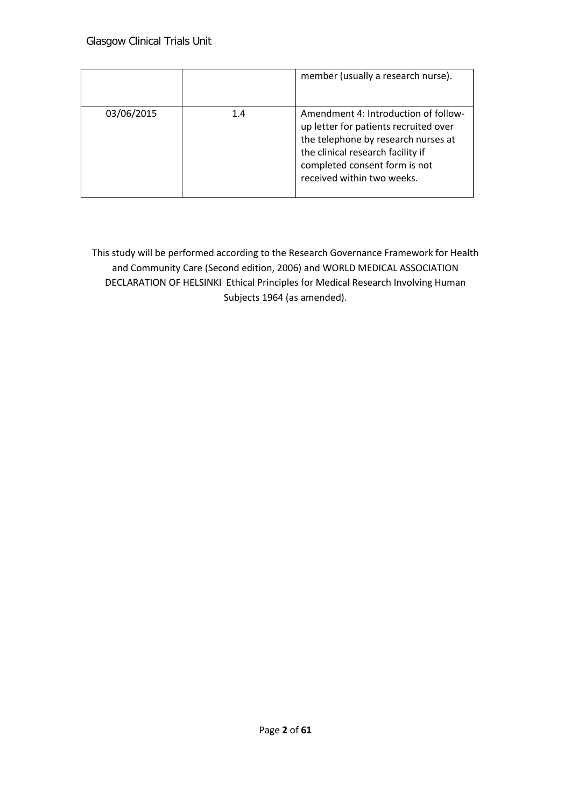|            |     | member (usually a research nurse).                                                                                                                                                                                       |
|------------|-----|--------------------------------------------------------------------------------------------------------------------------------------------------------------------------------------------------------------------------|
| 03/06/2015 | 1.4 | Amendment 4: Introduction of follow-<br>up letter for patients recruited over<br>the telephone by research nurses at<br>the clinical research facility if<br>completed consent form is not<br>received within two weeks. |

This study will be performed according to the Research Governance Framework for Health and Community Care (Second edition, 2006) and WORLD MEDICAL ASSOCIATION DECLARATION OF HELSINKI Ethical Principles for Medical Research Involving Human Subjects 1964 (as amended).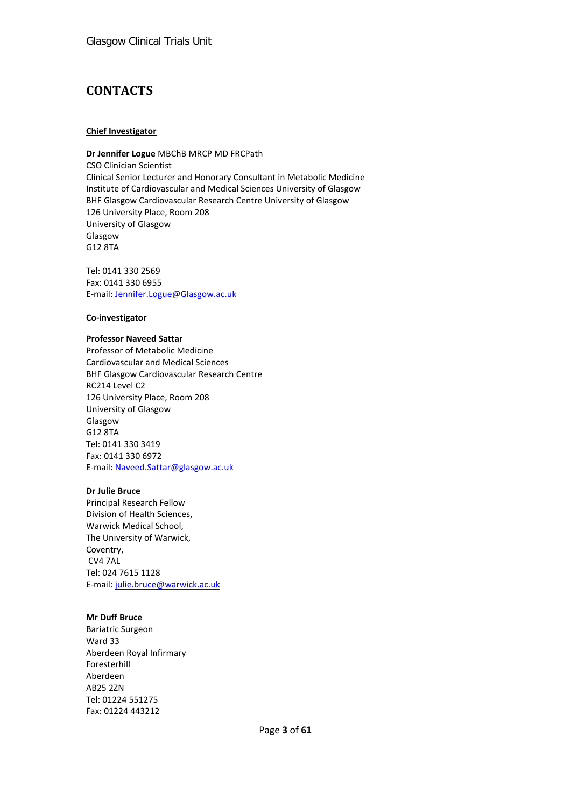### <span id="page-2-0"></span>**CONTACTS**

#### **Chief Investigator**

**Dr Jennifer Logue** MBChB MRCP MD FRCPath CSO Clinician Scientist Clinical Senior Lecturer and Honorary Consultant in Metabolic Medicine Institute of Cardiovascular and Medical Sciences University of Glasgow BHF Glasgow Cardiovascular Research Centre University of Glasgow 126 University Place, Room 208 University of Glasgow Glasgow G12 8TA

Tel: 0141 330 2569 Fax: 0141 330 6955 E-mail: [Jennifer.Logue@Glasgow.ac.uk](mailto:Jennifer.Logue@Glasgow.ac.uk)

#### **Co-investigator**

#### **Professor Naveed Sattar**

Professor of Metabolic Medicine Cardiovascular and Medical Sciences BHF Glasgow Cardiovascular Research Centre RC214 Level C2 126 University Place, Room 208 University of Glasgow Glasgow G12 8TA Tel: 0141 330 3419 Fax: 0141 330 6972 E-mail: [Naveed.Sattar@glasgow.ac.uk](mailto:Naveed.Sattar@glasgow.ac.uk)

#### **Dr Julie Bruce**

Principal Research Fellow Division of Health Sciences, Warwick Medical School, The University of Warwick, Coventry, CV4 7AL Tel: 024 7615 1128 E-mail: [julie.bruce@warwick.ac.uk](mailto:julie.bruce@warwick.ac.uk)

#### **Mr Duff Bruce**

Bariatric Surgeon Ward 33 Aberdeen Royal Infirmary Foresterhill Aberdeen AB25 2ZN Tel: 01224 551275 Fax: 01224 443212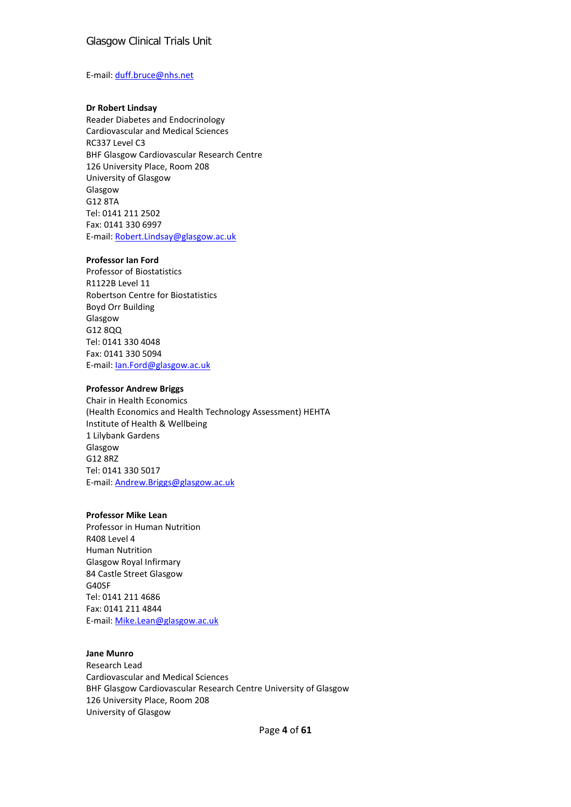#### E-mail: [duff.bruce@nhs.net](mailto:duff.bruce@nhs.net)

#### **Dr Robert Lindsay**

Reader Diabetes and Endocrinology Cardiovascular and Medical Sciences RC337 Level C3 BHF Glasgow Cardiovascular Research Centre 126 University Place, Room 208 University of Glasgow Glasgow G12 8TA Tel: 0141 211 2502 Fax: 0141 330 6997 E-mail: [Robert.Lindsay@glasgow.ac.uk](mailto:Robert.Lindsay@glasgow.ac.uk)

#### **Professor Ian Ford**

Professor of Biostatistics R1122B Level 11 Robertson Centre for Biostatistics Boyd Orr Building Glasgow G12 8QQ Tel: 0141 330 4048 Fax: 0141 330 5094 E-mail: [Ian.Ford@glasgow.ac.uk](mailto:Ian.Ford@glasgow.ac.uk)

#### **Professor Andrew Briggs**

Chair in Health Economics (Health Economics and Health Technology Assessment) HEHTA Institute of Health & Wellbeing 1 Lilybank Gardens Glasgow G12 8RZ Tel: 0141 330 5017 E-mail: [Andrew.Briggs@glasgow.ac.uk](mailto:Andrew.Briggs@glasgow.ac.uk)

#### **Professor Mike Lean**

Professor in Human Nutrition R408 Level 4 Human Nutrition Glasgow Royal Infirmary 84 Castle Street Glasgow G40SF Tel: 0141 211 4686 Fax: 0141 211 4844 E-mail: [Mike.Lean@glasgow.ac.uk](mailto:Mike.Lean@glasgow.ac.uk)

#### **Jane Munro**

Research Lead Cardiovascular and Medical Sciences BHF Glasgow Cardiovascular Research Centre University of Glasgow 126 University Place, Room 208 University of Glasgow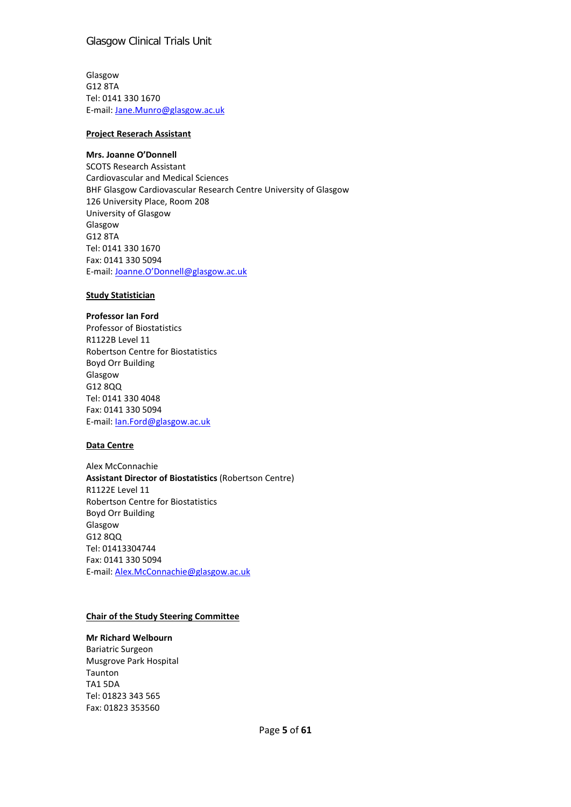Glasgow G12 8TA Tel: 0141 330 1670 E-mail: [Jane.Munro@glasgow.ac.uk](mailto:Jane.Munro@glasgow.ac.uk)

#### **Project Reserach Assistant**

#### **Mrs. Joanne O'Donnell**

SCOTS Research Assistant Cardiovascular and Medical Sciences BHF Glasgow Cardiovascular Research Centre University of Glasgow 126 University Place, Room 208 University of Glasgow Glasgow G12 8TA Tel: 0141 330 1670 Fax: 0141 330 5094 E-mail: [Joanne.O'Donnell@glasgow.ac.uk](mailto:sally.stewart@glasgow.ac.uk)

#### **Study Statistician**

#### **Professor Ian Ford**

Professor of Biostatistics R1122B Level 11 Robertson Centre for Biostatistics Boyd Orr Building Glasgow G12 8QQ Tel: 0141 330 4048 Fax: 0141 330 5094 E-mail: [Ian.Ford@glasgow.ac.uk](mailto:Ian.Ford@glasgow.ac.uk)

#### **Data Centre**

Alex McConnachie **Assistant Director of Biostatistics** (Robertson Centre) R1122E Level 11 Robertson Centre for Biostatistics Boyd Orr Building Glasgow G12 8QQ Tel: 01413304744 Fax: 0141 330 5094 E-mail: [Alex.McConnachie@glasgow.ac.uk](mailto:Alex.McConnachie@glasgow.ac.uk)

#### **Chair of the Study Steering Committee**

#### **Mr Richard Welbourn**

Bariatric Surgeon Musgrove Park Hospital Taunton TA1 5DA Tel: 01823 343 565 Fax: 01823 353560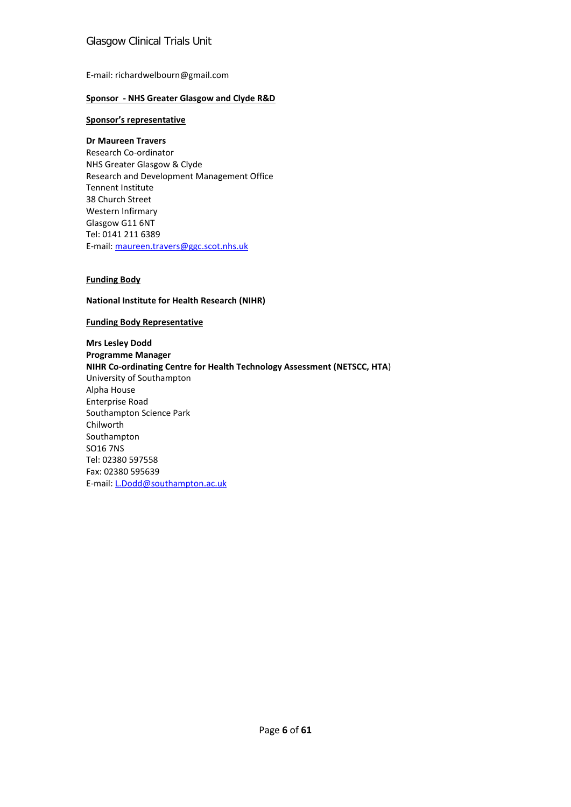#### Glasgow Clinical Trials Unit

E-mail: richardwelbourn@gmail.com

#### **Sponsor - NHS Greater Glasgow and Clyde R&D**

#### **Sponsor's representative**

#### **Dr Maureen Travers**

Research Co-ordinator NHS Greater Glasgow & Clyde Research and Development Management Office Tennent Institute 38 Church Street Western Infirmary Glasgow G11 6NT Tel: 0141 211 6389 E-mail: [maureen.travers@ggc.scot.nhs.uk](mailto:maureen.travers@ggc.scot.nhs.uk)

#### **Funding Body**

**National Institute for Health Research (NIHR)**

**Funding Body Representative**

**Mrs Lesley Dodd Programme Manager NIHR Co-ordinating Centre for Health Technology Assessment (NETSCC, HTA**) University of Southampton Alpha House Enterprise Road Southampton Science Park Chilworth Southampton SO16 7NS Tel: 02380 597558 Fax: 02380 595639 E-mail: [L.Dodd@southampton.ac.uk](mailto:L.Dodd@southampton.ac.uk)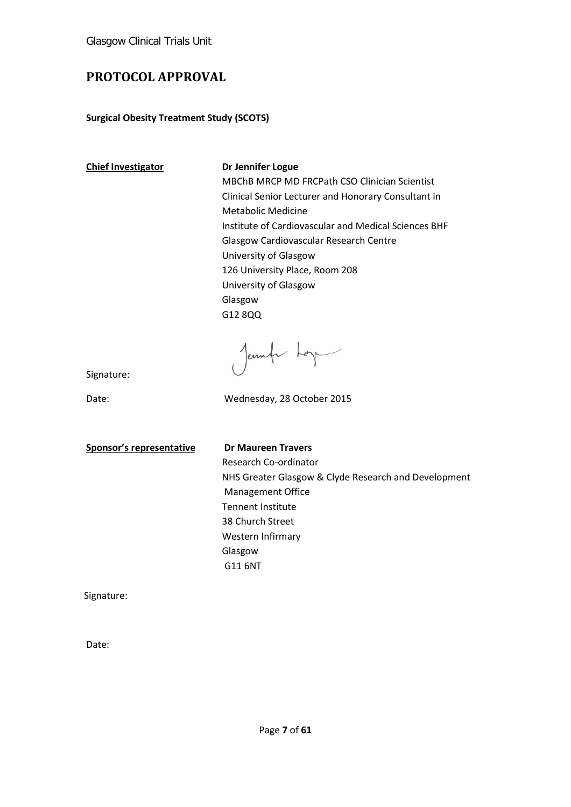### <span id="page-6-0"></span>**PROTOCOL APPROVAL**

### **Surgical Obesity Treatment Study (SCOTS)**

**Chief Investigator Dr Jennifer Logue**

MBChB MRCP MD FRCPath CSO Clinician Scientist Clinical Senior Lecturer and Honorary Consultant in Metabolic Medicine Institute of Cardiovascular and Medical Sciences BHF Glasgow Cardiovascular Research Centre University of Glasgow 126 University Place, Room 208 University of Glasgow Glasgow G12 8QQ

Jemp top

Signature:

Date: Wednesday, 28 October 2015

**Sponsor's representative Dr Maureen Travers**

Research Co-ordinator NHS Greater Glasgow & Clyde Research and Development Management Office Tennent Institute 38 Church Street Western Infirmary Glasgow G11 6NT

Signature:

Date: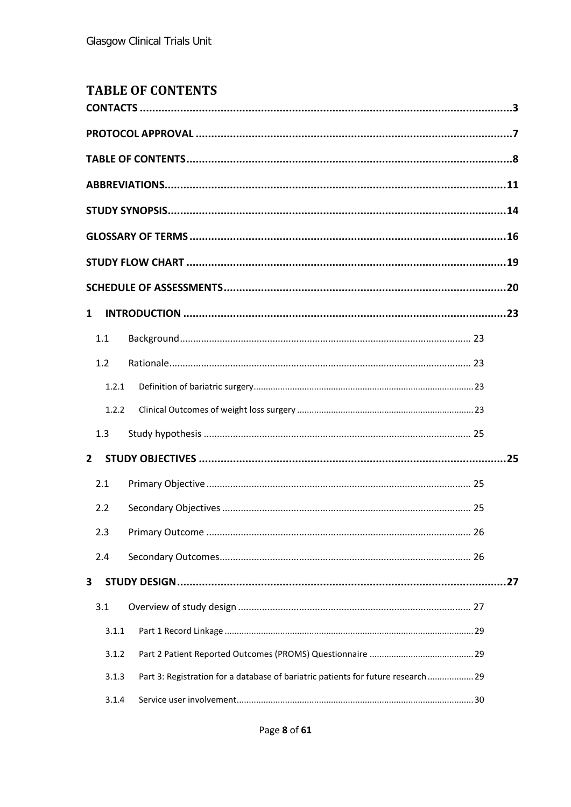<span id="page-7-0"></span>

|                | <b>TABLE OF CONTENTS</b>                                |     |
|----------------|---------------------------------------------------------|-----|
|                |                                                         |     |
|                |                                                         |     |
|                |                                                         |     |
|                |                                                         |     |
|                |                                                         |     |
|                |                                                         |     |
|                |                                                         |     |
|                | SCHEDULE OF ASSESSMENTS………………………………………………………………………………20 |     |
| 1              |                                                         |     |
| 1.1            |                                                         |     |
| 1.2            |                                                         |     |
| 1.2.1          |                                                         |     |
| 1.2.2          |                                                         |     |
| 1.3            |                                                         |     |
| $\overline{2}$ |                                                         |     |
| 2.1            |                                                         |     |
|                |                                                         | .25 |
| 2.3            |                                                         |     |
| 2.4            |                                                         |     |
| 3              |                                                         |     |

| 3.1   |                                                                                   |  |
|-------|-----------------------------------------------------------------------------------|--|
| 3.1.1 |                                                                                   |  |
| 3.1.2 |                                                                                   |  |
| 3.1.3 | Part 3: Registration for a database of bariatric patients for future research  29 |  |
|       |                                                                                   |  |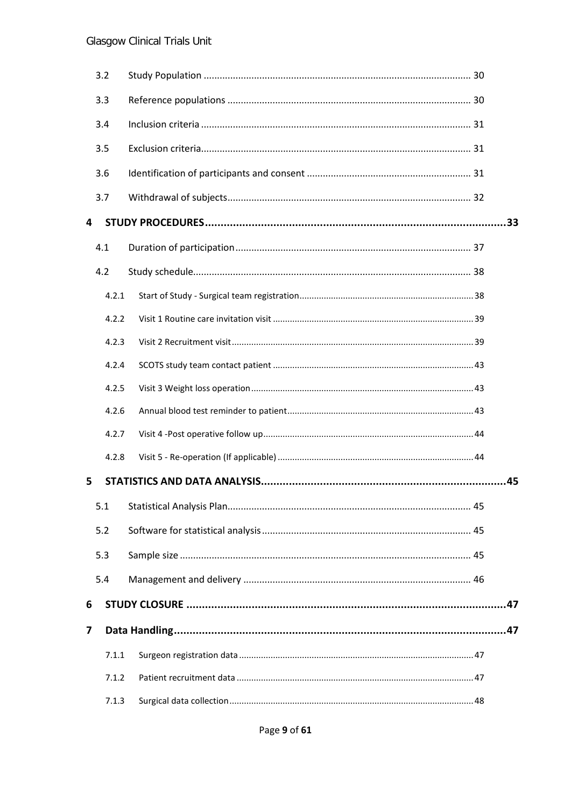|   | 3.2   |  |
|---|-------|--|
|   | 3.3   |  |
|   | 3.4   |  |
|   | 3.5   |  |
|   | 3.6   |  |
|   | 3.7   |  |
| 4 |       |  |
|   | 4.1   |  |
|   | 4.2   |  |
|   | 4.2.1 |  |
|   | 4.2.2 |  |
|   | 4.2.3 |  |
|   | 4.2.4 |  |
|   | 4.2.5 |  |
|   | 4.2.6 |  |
|   | 4.2.7 |  |
|   | 4.2.8 |  |
| 5 |       |  |
|   | 5.1   |  |
|   | 5.2   |  |
|   | 5.3   |  |
|   | 5.4   |  |
| 6 |       |  |
| 7 |       |  |
|   | 7.1.1 |  |
|   | 7.1.2 |  |
|   | 7.1.3 |  |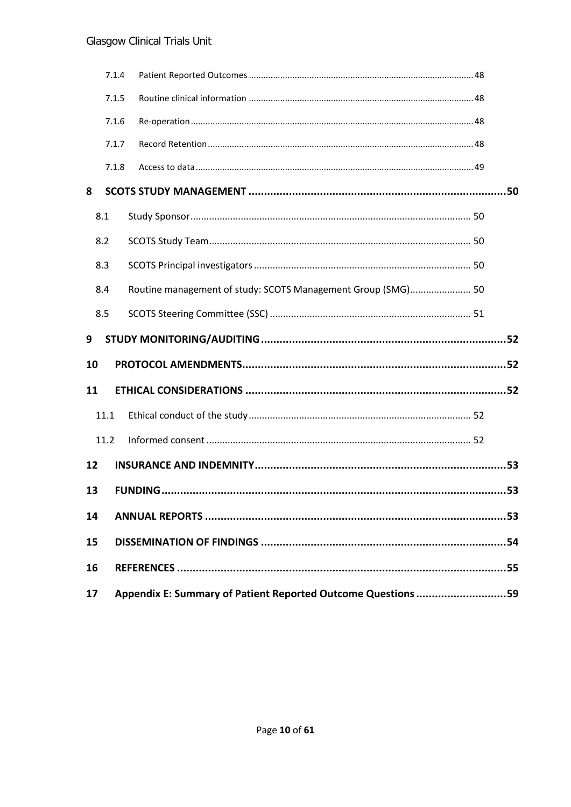### **Glasgow Clinical Trials Unit**

|    | 7.1.4 |                                                              |  |
|----|-------|--------------------------------------------------------------|--|
|    | 7.1.5 |                                                              |  |
|    | 7.1.6 |                                                              |  |
|    | 7.1.7 |                                                              |  |
|    | 7.1.8 |                                                              |  |
| 8  |       |                                                              |  |
|    | 8.1   |                                                              |  |
|    | 8.2   |                                                              |  |
|    | 8.3   |                                                              |  |
|    | 8.4   | Routine management of study: SCOTS Management Group (SMG) 50 |  |
|    | 8.5   |                                                              |  |
| 9  |       |                                                              |  |
| 10 |       |                                                              |  |
| 11 |       |                                                              |  |
|    | 11.1  |                                                              |  |
|    | 11.2  |                                                              |  |
| 12 |       |                                                              |  |
| 13 |       |                                                              |  |
| 14 |       |                                                              |  |
| 15 |       |                                                              |  |
| 16 |       |                                                              |  |
|    |       |                                                              |  |
| 17 |       | Appendix E: Summary of Patient Reported Outcome Questions 59 |  |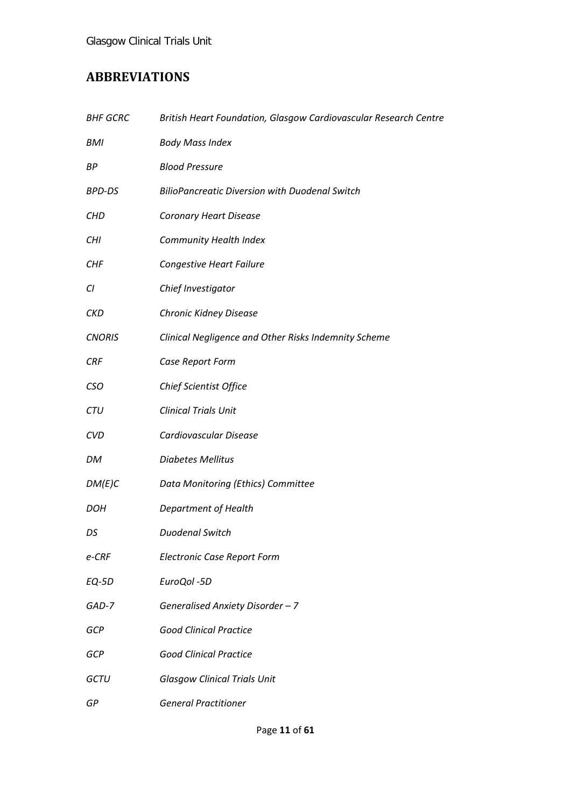### <span id="page-10-0"></span>**ABBREVIATIONS**

| <b>BHF GCRC</b> | British Heart Foundation, Glasgow Cardiovascular Research Centre |
|-----------------|------------------------------------------------------------------|
| BMI             | <b>Body Mass Index</b>                                           |
| ВP              | <b>Blood Pressure</b>                                            |
| <b>BPD-DS</b>   | <b>BilioPancreatic Diversion with Duodenal Switch</b>            |
| <b>CHD</b>      | <b>Coronary Heart Disease</b>                                    |
| CHI             | <b>Community Health Index</b>                                    |
| CHF             | Congestive Heart Failure                                         |
| CI              | Chief Investigator                                               |
| <b>CKD</b>      | Chronic Kidney Disease                                           |
| <b>CNORIS</b>   | Clinical Negligence and Other Risks Indemnity Scheme             |
| CRF             | Case Report Form                                                 |
| <b>CSO</b>      | Chief Scientist Office                                           |
| <b>CTU</b>      | <b>Clinical Trials Unit</b>                                      |
| <b>CVD</b>      | Cardiovascular Disease                                           |
| DM              | <b>Diabetes Mellitus</b>                                         |
| DM(E)C          | Data Monitoring (Ethics) Committee                               |
| <b>DOH</b>      | Department of Health                                             |
| DS              | <b>Duodenal Switch</b>                                           |
| e-CRF           | <b>Electronic Case Report Form</b>                               |
| EQ-5D           | EuroQol -5D                                                      |
| GAD-7           | Generalised Anxiety Disorder - 7                                 |
| GCP             | <b>Good Clinical Practice</b>                                    |
| GCP             | <b>Good Clinical Practice</b>                                    |
| GCTU            | <b>Glasgow Clinical Trials Unit</b>                              |
| GР              | <b>General Practitioner</b>                                      |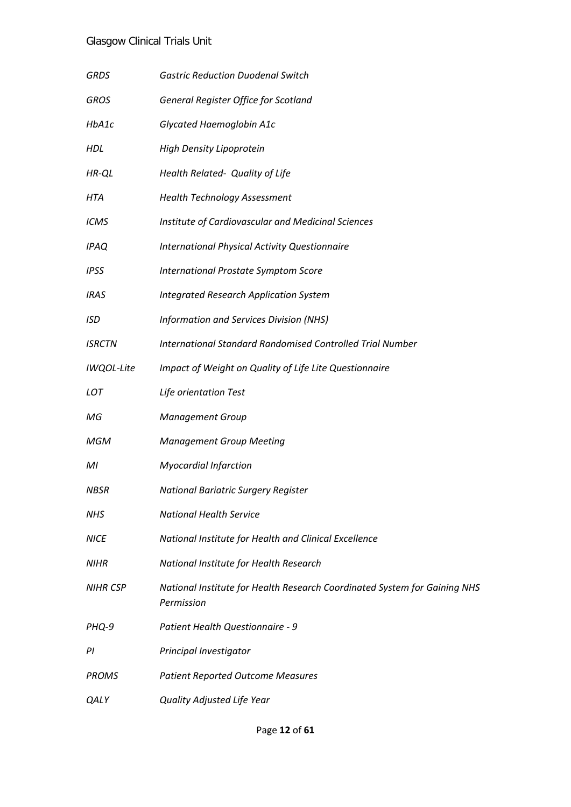### Glasgow Clinical Trials Unit

| <b>GRDS</b>       | <b>Gastric Reduction Duodenal Switch</b>                                                |
|-------------------|-----------------------------------------------------------------------------------------|
| GROS              | General Register Office for Scotland                                                    |
| HbA1c             | Glycated Haemoglobin A1c                                                                |
| HDL               | High Density Lipoprotein                                                                |
| HR-QL             | Health Related- Quality of Life                                                         |
| HTA               | <b>Health Technology Assessment</b>                                                     |
| ICMS              | Institute of Cardiovascular and Medicinal Sciences                                      |
| IPAQ              | <b>International Physical Activity Questionnaire</b>                                    |
| IPSS              | <b>International Prostate Symptom Score</b>                                             |
| IRAS              | <b>Integrated Research Application System</b>                                           |
| ISD               | Information and Services Division (NHS)                                                 |
| <b>ISRCTN</b>     | International Standard Randomised Controlled Trial Number                               |
| <b>IWQOL-Lite</b> | Impact of Weight on Quality of Life Lite Questionnaire                                  |
| LOT               | Life orientation Test                                                                   |
| ΜG                | <b>Management Group</b>                                                                 |
| MGM               | <b>Management Group Meeting</b>                                                         |
| MI                | <b>Myocardial Infarction</b>                                                            |
| NBSR              | <b>National Bariatric Surgery Register</b>                                              |
| NHS               | <b>National Health Service</b>                                                          |
| NICE              | National Institute for Health and Clinical Excellence                                   |
| NIHR              | National Institute for Health Research                                                  |
| <b>NIHR CSP</b>   | National Institute for Health Research Coordinated System for Gaining NHS<br>Permission |
| PHQ-9             | Patient Health Questionnaire - 9                                                        |
| ΡI                | Principal Investigator                                                                  |
| PROMS             | <b>Patient Reported Outcome Measures</b>                                                |
| QALY              | Quality Adjusted Life Year                                                              |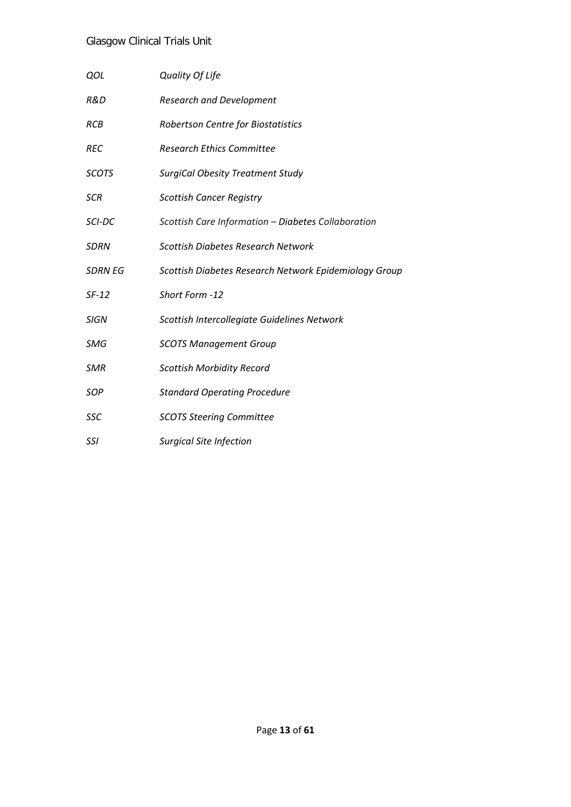### Glasgow Clinical Trials Unit

| QOL            | Quality Of Life                                       |
|----------------|-------------------------------------------------------|
| R&D            | <b>Research and Development</b>                       |
| RCB            | Robertson Centre for Biostatistics                    |
| <b>REC</b>     | <b>Research Ethics Committee</b>                      |
| SCOTS          | <b>SurgiCal Obesity Treatment Study</b>               |
| <b>SCR</b>     | <b>Scottish Cancer Registry</b>                       |
| SCI-DC         | Scottish Care Information - Diabetes Collaboration    |
| SDRN           | <b>Scottish Diabetes Research Network</b>             |
| <b>SDRN EG</b> | Scottish Diabetes Research Network Epidemiology Group |
| SF-12          | Short Form -12                                        |
| SIGN           | Scottish Intercollegiate Guidelines Network           |
| SMG            | <b>SCOTS Management Group</b>                         |
| SMR            | <b>Scottish Morbidity Record</b>                      |
| SOP            | <b>Standard Operating Procedure</b>                   |
| SSC            | <b>SCOTS Steering Committee</b>                       |
| SSI            | <b>Surgical Site Infection</b>                        |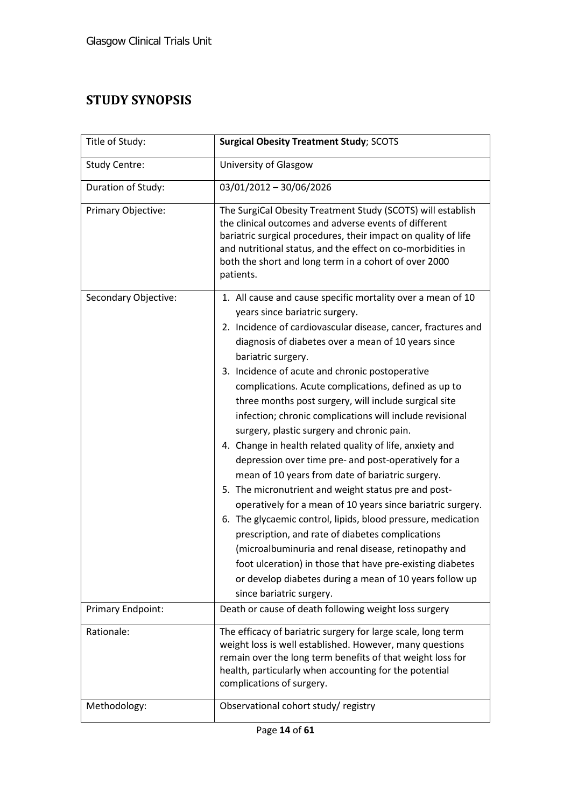### <span id="page-13-0"></span>**STUDY SYNOPSIS**

| Title of Study:      | <b>Surgical Obesity Treatment Study; SCOTS</b>                                                                                                                                                                                                                                                                                                                                                                                                                                                                                                                                                                                                                                                                                                                                                                                                                                                                                                                                                                                                                                                                                                           |
|----------------------|----------------------------------------------------------------------------------------------------------------------------------------------------------------------------------------------------------------------------------------------------------------------------------------------------------------------------------------------------------------------------------------------------------------------------------------------------------------------------------------------------------------------------------------------------------------------------------------------------------------------------------------------------------------------------------------------------------------------------------------------------------------------------------------------------------------------------------------------------------------------------------------------------------------------------------------------------------------------------------------------------------------------------------------------------------------------------------------------------------------------------------------------------------|
| <b>Study Centre:</b> | University of Glasgow                                                                                                                                                                                                                                                                                                                                                                                                                                                                                                                                                                                                                                                                                                                                                                                                                                                                                                                                                                                                                                                                                                                                    |
| Duration of Study:   | 03/01/2012 - 30/06/2026                                                                                                                                                                                                                                                                                                                                                                                                                                                                                                                                                                                                                                                                                                                                                                                                                                                                                                                                                                                                                                                                                                                                  |
| Primary Objective:   | The SurgiCal Obesity Treatment Study (SCOTS) will establish<br>the clinical outcomes and adverse events of different<br>bariatric surgical procedures, their impact on quality of life<br>and nutritional status, and the effect on co-morbidities in<br>both the short and long term in a cohort of over 2000<br>patients.                                                                                                                                                                                                                                                                                                                                                                                                                                                                                                                                                                                                                                                                                                                                                                                                                              |
| Secondary Objective: | 1. All cause and cause specific mortality over a mean of 10<br>years since bariatric surgery.<br>2. Incidence of cardiovascular disease, cancer, fractures and<br>diagnosis of diabetes over a mean of 10 years since<br>bariatric surgery.<br>3. Incidence of acute and chronic postoperative<br>complications. Acute complications, defined as up to<br>three months post surgery, will include surgical site<br>infection; chronic complications will include revisional<br>surgery, plastic surgery and chronic pain.<br>4. Change in health related quality of life, anxiety and<br>depression over time pre- and post-operatively for a<br>mean of 10 years from date of bariatric surgery.<br>5. The micronutrient and weight status pre and post-<br>operatively for a mean of 10 years since bariatric surgery.<br>6. The glycaemic control, lipids, blood pressure, medication<br>prescription, and rate of diabetes complications<br>(microalbuminuria and renal disease, retinopathy and<br>foot ulceration) in those that have pre-existing diabetes<br>or develop diabetes during a mean of 10 years follow up<br>since bariatric surgery. |
| Primary Endpoint:    | Death or cause of death following weight loss surgery                                                                                                                                                                                                                                                                                                                                                                                                                                                                                                                                                                                                                                                                                                                                                                                                                                                                                                                                                                                                                                                                                                    |
| Rationale:           | The efficacy of bariatric surgery for large scale, long term<br>weight loss is well established. However, many questions<br>remain over the long term benefits of that weight loss for<br>health, particularly when accounting for the potential<br>complications of surgery.                                                                                                                                                                                                                                                                                                                                                                                                                                                                                                                                                                                                                                                                                                                                                                                                                                                                            |
| Methodology:         | Observational cohort study/registry                                                                                                                                                                                                                                                                                                                                                                                                                                                                                                                                                                                                                                                                                                                                                                                                                                                                                                                                                                                                                                                                                                                      |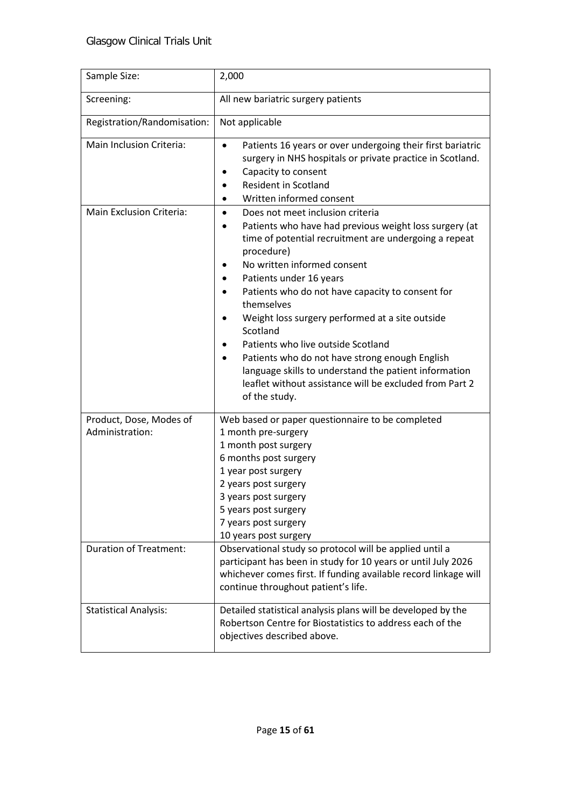| Sample Size:                               | 2,000                                                                                                                                                                                                                                                                                                                                                                                                                                                                                                                                                                                                       |
|--------------------------------------------|-------------------------------------------------------------------------------------------------------------------------------------------------------------------------------------------------------------------------------------------------------------------------------------------------------------------------------------------------------------------------------------------------------------------------------------------------------------------------------------------------------------------------------------------------------------------------------------------------------------|
| Screening:                                 | All new bariatric surgery patients                                                                                                                                                                                                                                                                                                                                                                                                                                                                                                                                                                          |
| Registration/Randomisation:                | Not applicable                                                                                                                                                                                                                                                                                                                                                                                                                                                                                                                                                                                              |
| Main Inclusion Criteria:                   | Patients 16 years or over undergoing their first bariatric<br>$\bullet$<br>surgery in NHS hospitals or private practice in Scotland.<br>Capacity to consent<br>Resident in Scotland<br>Written informed consent                                                                                                                                                                                                                                                                                                                                                                                             |
| Main Exclusion Criteria:                   | Does not meet inclusion criteria<br>$\bullet$<br>Patients who have had previous weight loss surgery (at<br>٠<br>time of potential recruitment are undergoing a repeat<br>procedure)<br>No written informed consent<br>Patients under 16 years<br>Patients who do not have capacity to consent for<br>themselves<br>Weight loss surgery performed at a site outside<br>Scotland<br>Patients who live outside Scotland<br>Patients who do not have strong enough English<br>language skills to understand the patient information<br>leaflet without assistance will be excluded from Part 2<br>of the study. |
| Product, Dose, Modes of<br>Administration: | Web based or paper questionnaire to be completed<br>1 month pre-surgery<br>1 month post surgery<br>6 months post surgery<br>1 year post surgery<br>2 years post surgery<br>3 years post surgery<br>5 years post surgery<br>7 years post surgery<br>10 years post surgery                                                                                                                                                                                                                                                                                                                                    |
| <b>Duration of Treatment:</b>              | Observational study so protocol will be applied until a<br>participant has been in study for 10 years or until July 2026<br>whichever comes first. If funding available record linkage will<br>continue throughout patient's life.                                                                                                                                                                                                                                                                                                                                                                          |
| <b>Statistical Analysis:</b>               | Detailed statistical analysis plans will be developed by the<br>Robertson Centre for Biostatistics to address each of the<br>objectives described above.                                                                                                                                                                                                                                                                                                                                                                                                                                                    |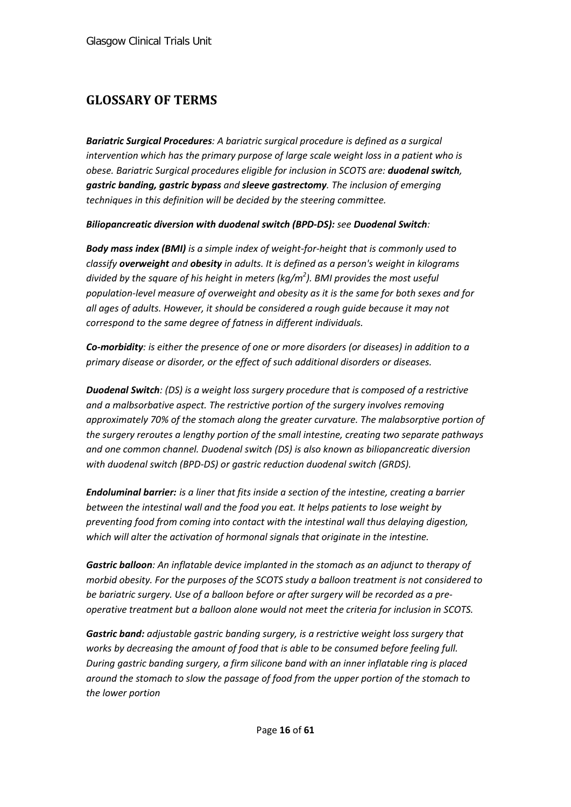### <span id="page-15-0"></span>**GLOSSARY OF TERMS**

*Bariatric Surgical Procedures: A bariatric surgical procedure is defined as a surgical intervention which has the primary purpose of large scale weight loss in a patient who is obese. Bariatric Surgical procedures eligible for inclusion in SCOTS are: duodenal switch, gastric banding, gastric bypass and sleeve gastrectomy. The inclusion of emerging techniques in this definition will be decided by the steering committee.*

*Biliopancreatic diversion with duodenal switch (BPD-DS): see Duodenal Switch:*

*Body mass index (BMI) is a simple index of weight-for-height that is commonly used to classify overweight and obesity in adults. It is defined as a person's weight in kilograms divided by the square of his height in meters (kg/m2 ). BMI provides the most useful population-level measure of overweight and obesity as it is the same for both sexes and for all ages of adults. However, it should be considered a rough guide because it may not correspond to the same degree of fatness in different individuals.*

*Co-morbidity: is either the presence of one or more disorders (or diseases) in addition to a primary disease or disorder, or the effect of such additional disorders or diseases.*

*Duodenal Switch: (DS) is a weight loss surgery procedure that is composed of a restrictive and a malbsorbative aspect. The restrictive portion of the surgery involves removing approximately 70% of the stomach along the greater curvature. The malabsorptive portion of the surgery reroutes a lengthy portion of the [small intestine,](http://en.wikipedia.org/wiki/Small_intestine) creating two separate pathways and one common channel. Duodenal switch (DS) is also known as biliopancreatic diversion with duodenal switch (BPD-DS) or gastric reduction duodenal switch (GRDS).*

*Endoluminal barrier: is a liner that fits inside a section of the intestine, creating a barrier between the intestinal wall and the food you eat. It helps patients to lose weight by preventing food from coming into contact with the intestinal wall thus delaying digestion, which will alter the activation of hormonal signals that originate in the intestine.*

*Gastric balloon: An inflatable device implanted in the stomach as an adjunct to therapy of morbid obesity. For the purposes of the SCOTS study a balloon treatment is not considered to be bariatric surgery. Use of a balloon before or after surgery will be recorded as a preoperative treatment but a balloon alone would not meet the criteria for inclusion in SCOTS.* 

*Gastric band: adjustable gastric banding surgery, is a restrictive weight loss surgery that works by decreasing the amount of food that is able to be consumed before feeling full. During gastric banding surgery, a firm silicone band with an inner inflatable ring is placed around the stomach to slow the passage of food from the upper portion of the stomach to the lower portion*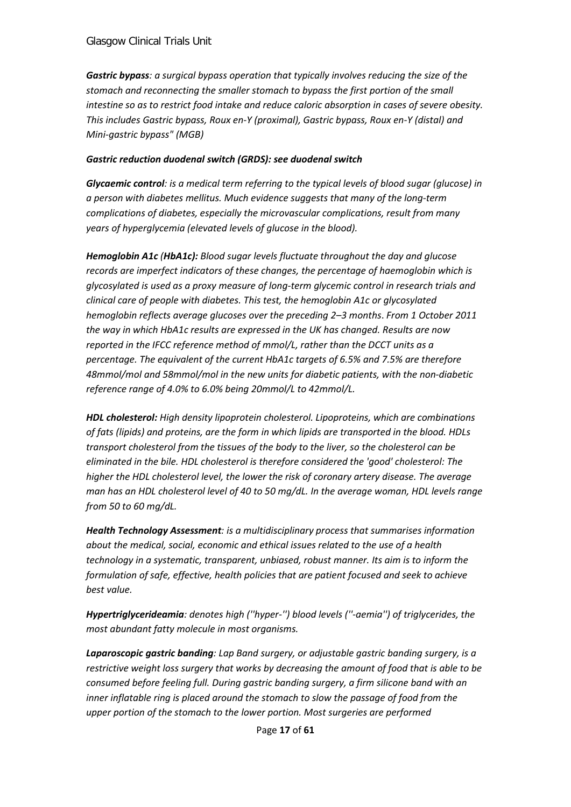*Gastric bypass: a surgical bypass operation that typically involves reducing the size of the stomach and reconnecting the smaller stomach to bypass the first portion of the small intestine so as to restrict food intake and reduce caloric absorption in cases of severe obesity. This includes Gastric bypass, Roux en-Y (proximal), Gastric bypass, Roux en-Y (distal) and Mini-gastric bypass" (MGB)*

### *Gastric reduction duodenal switch (GRDS): see duodenal switch*

*Glycaemic control: is a medical term referring to the typical levels of blood sugar (glucose) in a person with diabetes mellitus. Much evidence suggests that many of the long-term complications of diabetes, especially the microvascular complications, result from many years of hyperglycemia (elevated levels of glucose in the blood).*

*Hemoglobin A1c (HbA1c): Blood sugar levels fluctuate throughout the day and glucose records are imperfect indicators of these changes, the percentage of haemoglobin which is glycosylated is used as a proxy measure of long-term glycemic control in research trials and clinical care of people with diabetes. This test, the hemoglobin A1c or glycosylated hemoglobin reflects average glucoses over the preceding 2–3 months*. *From 1 October 2011 the way in which HbA1c results are expressed in the UK has changed. Results are now reported in the IFCC reference method of mmol/L, rather than the DCCT units as a percentage. The equivalent of the current HbA1c targets of 6.5% and 7.5% are therefore 48mmol/mol and 58mmol/mol in the new units for diabetic patients, with the non-diabetic reference range of 4.0% to 6.0% being 20mmol/L to 42mmol/L.*

*HDL cholesterol: High density lipoprotein cholesterol. Lipoproteins, which are combinations of fats (lipids) and proteins, are the form in which lipids are transported in the blood. HDLs transport cholesterol from the tissues of the body to the liver, so the cholesterol can be eliminated in the bile. HDL cholesterol is therefore considered the 'good' cholesterol: The higher the HDL cholesterol level, the lower the risk of coronary artery disease. The average man has an HDL cholesterol level of 40 to 50 mg/dL. In the average woman, HDL levels range from 50 to 60 mg/dL.*

*Health Technology Assessment: is a multidisciplinary process that summarises information about the medical, social, economic and ethical issues related to the use of a health technology in a systematic, transparent, unbiased, robust manner. Its aim is to inform the formulation of safe, effective, health policies that are patient focused and seek to achieve best value.*

*Hypertriglycerideamia: denotes high (''hyper-'') blood levels (''-aemia'') of triglycerides, the most abundant fatty molecule in most organisms.* 

*Laparoscopic gastric banding: Lap Band surgery, or adjustable gastric banding surgery, is a restrictive weight loss surgery that works by decreasing the amount of food that is able to be consumed before feeling full. During gastric banding surgery, a firm silicone band with an inner inflatable ring is placed around the stomach to slow the passage of food from the upper portion of the stomach to the lower portion. Most surgeries are performed*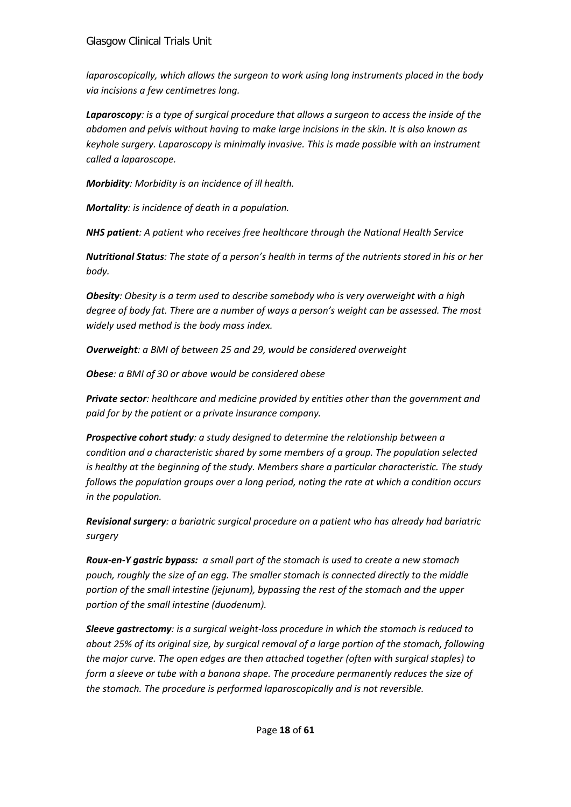*laparoscopically, which allows the surgeon to work using long instruments placed in the body via incisions a few centimetres long.*

*Laparoscopy: is a type of surgical procedure that allows a surgeon to access the inside of the abdomen and pelvis without having to make large incisions in the skin. It is also known as keyhole surgery. Laparoscopy is minimally invasive. This is made possible with an instrument called a laparoscope.*

*Morbidity: Morbidity is an incidence of ill health.*

*Mortality: is incidence of death in a population.*

*NHS patient: A patient who receives free healthcare through the National Health Service*

*Nutritional Status: The state of a person's health in terms of the nutrients stored in his or her body.*

*Obesity: Obesity is a term used to describe somebody who is very overweight with a high degree of body fat. There are a number of ways a person's weight can be assessed. The most widely used method is the body mass index.*

*Overweight: a BMI of between 25 and 29, would be considered overweight* 

*Obese: a BMI of 30 or above would be considered obese* 

*Private sector: healthcare and medicine provided by entities other than the government and paid for by the patient or a private insurance company.*

*Prospective cohort study: a study designed to determine the relationship between a condition and a characteristic shared by some members of a group. The population selected is healthy at the beginning of the study. Members share a particular characteristic. The study follows the population groups over a long period, noting the rate at which a condition occurs in the population.*

*Revisional surgery: a bariatric surgical procedure on a patient who has already had bariatric surgery*

*Roux-en-Y gastric bypass: a small part of the stomach is used to create a new stomach pouch, roughly the size of an egg. The smaller stomach is connected directly to the middle portion of the small intestine (jejunum), bypassing the rest of the stomach and the upper portion of the small intestine (duodenum).*

*Sleeve gastrectomy: is a surgical weight-loss procedure in which the stomach is reduced to about 25% of its original size, by surgical removal of a large portion of the stomach, following the major curve. The open edges are then attached together (often with surgical staples) to form a sleeve or tube with a banana shape. The procedure permanently reduces the size of the stomach. The procedure is performed laparoscopically and is not reversible.*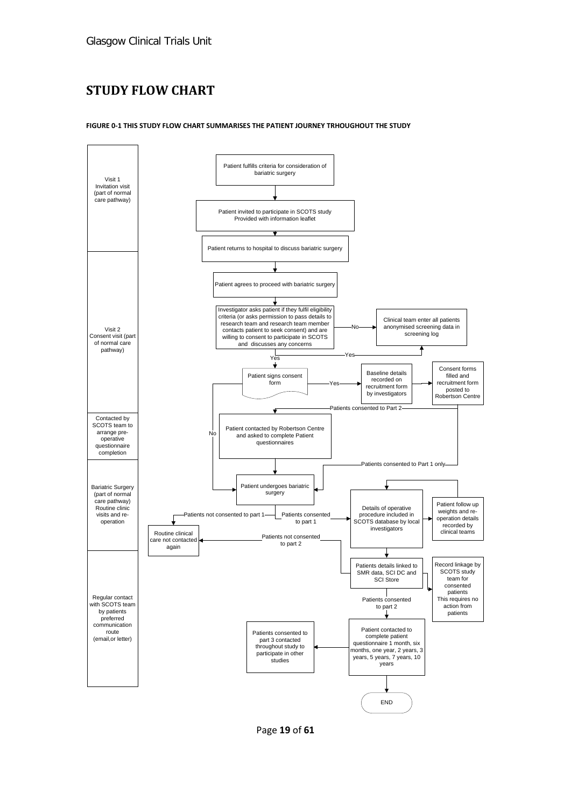### <span id="page-18-0"></span>**STUDY FLOW CHART**



**FIGURE 0-1 THIS STUDY FLOW CHART SUMMARISES THE PATIENT JOURNEY TRHOUGHOUT THE STUDY**

Page **19** of **61**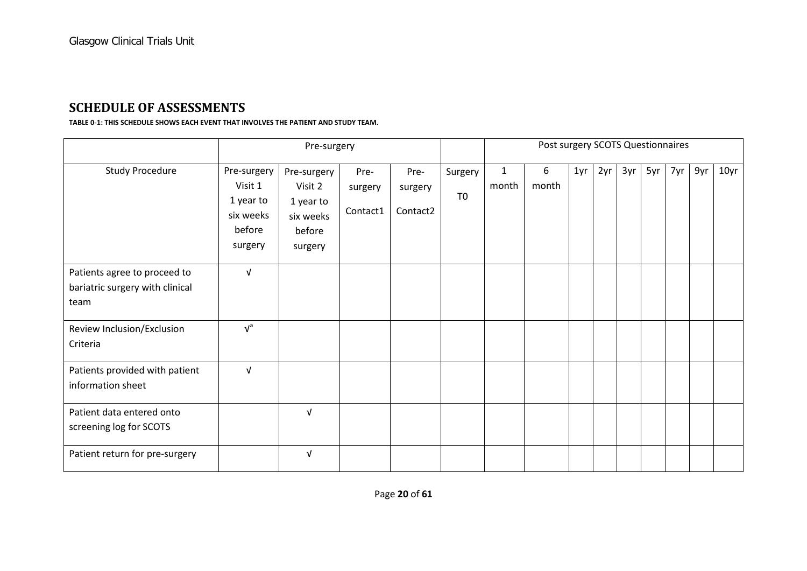### **SCHEDULE OF ASSESSMENTS**

#### **TABLE 0-1: THIS SCHEDULE SHOWS EACH EVENT THAT INVOLVES THE PATIENT AND STUDY TEAM.**

<span id="page-19-0"></span>

|                                                                         |                                                                       | Pre-surgery                                                           |                             |                             |                           | Post surgery SCOTS Questionnaires |            |     |     |     |     |     |     |                  |
|-------------------------------------------------------------------------|-----------------------------------------------------------------------|-----------------------------------------------------------------------|-----------------------------|-----------------------------|---------------------------|-----------------------------------|------------|-----|-----|-----|-----|-----|-----|------------------|
| <b>Study Procedure</b>                                                  | Pre-surgery<br>Visit 1<br>1 year to<br>six weeks<br>before<br>surgery | Pre-surgery<br>Visit 2<br>1 year to<br>six weeks<br>before<br>surgery | Pre-<br>surgery<br>Contact1 | Pre-<br>surgery<br>Contact2 | Surgery<br>T <sub>0</sub> | $\mathbf{1}$<br>month             | 6<br>month | 1yr | 2yr | 3yr | 5yr | 7yr | 9yr | 10 <sub>yr</sub> |
| Patients agree to proceed to<br>bariatric surgery with clinical<br>team | $\sqrt{ }$                                                            |                                                                       |                             |                             |                           |                                   |            |     |     |     |     |     |     |                  |
| Review Inclusion/Exclusion<br>Criteria                                  | $v^a$                                                                 |                                                                       |                             |                             |                           |                                   |            |     |     |     |     |     |     |                  |
| Patients provided with patient<br>information sheet                     | $\sqrt{ }$                                                            |                                                                       |                             |                             |                           |                                   |            |     |     |     |     |     |     |                  |
| Patient data entered onto<br>screening log for SCOTS                    |                                                                       | $\sqrt{ }$                                                            |                             |                             |                           |                                   |            |     |     |     |     |     |     |                  |
| Patient return for pre-surgery                                          |                                                                       | $\sqrt{ }$                                                            |                             |                             |                           |                                   |            |     |     |     |     |     |     |                  |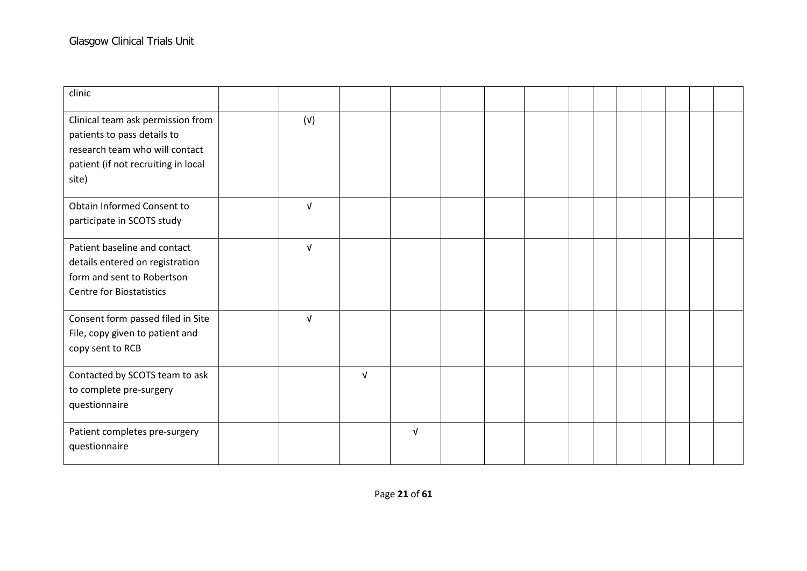| clinic                                                                                                                                             |            |            |            |  |  |  |  |  |
|----------------------------------------------------------------------------------------------------------------------------------------------------|------------|------------|------------|--|--|--|--|--|
| Clinical team ask permission from<br>patients to pass details to<br>research team who will contact<br>patient (if not recruiting in local<br>site) | $(\vee)$   |            |            |  |  |  |  |  |
| Obtain Informed Consent to<br>participate in SCOTS study                                                                                           | $\sqrt{ }$ |            |            |  |  |  |  |  |
| Patient baseline and contact<br>details entered on registration<br>form and sent to Robertson<br><b>Centre for Biostatistics</b>                   | $\sqrt{ }$ |            |            |  |  |  |  |  |
| Consent form passed filed in Site<br>File, copy given to patient and<br>copy sent to RCB                                                           | $\sqrt{ }$ |            |            |  |  |  |  |  |
| Contacted by SCOTS team to ask<br>to complete pre-surgery<br>questionnaire                                                                         |            | $\sqrt{ }$ |            |  |  |  |  |  |
| Patient completes pre-surgery<br>questionnaire                                                                                                     |            |            | $\sqrt{ }$ |  |  |  |  |  |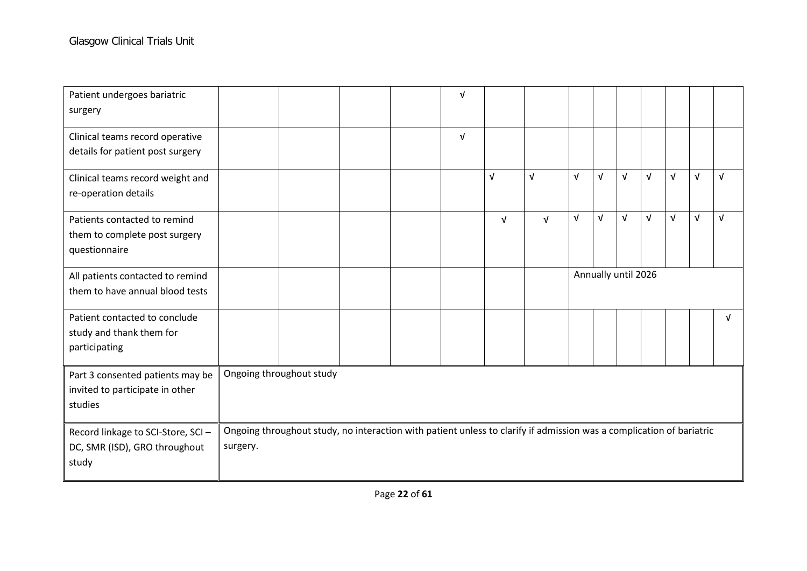| Patient undergoes bariatric<br>surgery                                         |          |                                                                                                                      |  | $\sqrt{ }$ |            |            |                     |            |            |            |            |            |            |
|--------------------------------------------------------------------------------|----------|----------------------------------------------------------------------------------------------------------------------|--|------------|------------|------------|---------------------|------------|------------|------------|------------|------------|------------|
| Clinical teams record operative<br>details for patient post surgery            |          |                                                                                                                      |  | $\sqrt{ }$ |            |            |                     |            |            |            |            |            |            |
| Clinical teams record weight and<br>re-operation details                       |          |                                                                                                                      |  |            | $\sqrt{ }$ | $\sqrt{ }$ | $\sqrt{ }$          | $\sqrt{ }$ | $\sqrt{ }$ | $\sqrt{ }$ | $\sqrt{ }$ | $\sqrt{ }$ | $\sqrt{ }$ |
| Patients contacted to remind<br>them to complete post surgery<br>questionnaire |          |                                                                                                                      |  |            | $\sqrt{ }$ | $\sqrt{ }$ | $\sqrt{ }$          | $\sqrt{ }$ | $\sqrt{ }$ | $\sqrt{ }$ | $\sqrt{ }$ | $\sqrt{ }$ | V          |
| All patients contacted to remind<br>them to have annual blood tests            |          |                                                                                                                      |  |            |            |            | Annually until 2026 |            |            |            |            |            |            |
| Patient contacted to conclude<br>study and thank them for<br>participating     |          |                                                                                                                      |  |            |            |            |                     |            |            |            |            |            | v          |
| Part 3 consented patients may be<br>invited to participate in other<br>studies |          | Ongoing throughout study                                                                                             |  |            |            |            |                     |            |            |            |            |            |            |
| Record linkage to SCI-Store, SCI-<br>DC, SMR (ISD), GRO throughout<br>study    | surgery. | Ongoing throughout study, no interaction with patient unless to clarify if admission was a complication of bariatric |  |            |            |            |                     |            |            |            |            |            |            |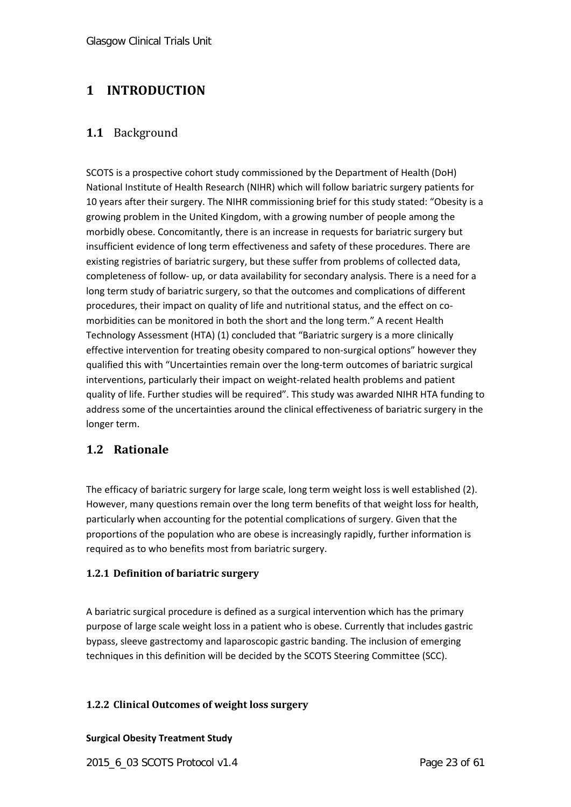### <span id="page-22-0"></span>**1 INTRODUCTION**

### <span id="page-22-1"></span>**1.1** Background

SCOTS is a prospective cohort study commissioned by the Department of Health (DoH) National Institute of Health Research (NIHR) which will follow bariatric surgery patients for 10 years after their surgery. The NIHR commissioning brief for this study stated: "Obesity is a growing problem in the United Kingdom, with a growing number of people among the morbidly obese. Concomitantly, there is an increase in requests for bariatric surgery but insufficient evidence of long term effectiveness and safety of these procedures. There are existing registries of bariatric surgery, but these suffer from problems of collected data, completeness of follow- up, or data availability for secondary analysis. There is a need for a long term study of bariatric surgery, so that the outcomes and complications of different procedures, their impact on quality of life and nutritional status, and the effect on comorbidities can be monitored in both the short and the long term." A recent Health Technology Assessment (HTA) (1) concluded that "Bariatric surgery is a more clinically effective intervention for treating obesity compared to non-surgical options" however they qualified this with "Uncertainties remain over the long-term outcomes of bariatric surgical interventions, particularly their impact on weight-related health problems and patient quality of life. Further studies will be required". This study was awarded NIHR HTA funding to address some of the uncertainties around the clinical effectiveness of bariatric surgery in the longer term.

### <span id="page-22-2"></span>**1.2 Rationale**

The efficacy of bariatric surgery for large scale, long term weight loss is well established (2). However, many questions remain over the long term benefits of that weight loss for health, particularly when accounting for the potential complications of surgery. Given that the proportions of the population who are obese is increasingly rapidly, further information is required as to who benefits most from bariatric surgery.

### <span id="page-22-3"></span>**1.2.1 Definition of bariatric surgery**

A bariatric surgical procedure is defined as a surgical intervention which has the primary purpose of large scale weight loss in a patient who is obese. Currently that includes gastric bypass, sleeve gastrectomy and laparoscopic gastric banding. The inclusion of emerging techniques in this definition will be decided by the SCOTS Steering Committee (SCC).

### <span id="page-22-4"></span>**1.2.2 Clinical Outcomes of weight loss surgery**

#### **Surgical Obesity Treatment Study**

2015\_6\_03 SCOTS Protocol v1.4 Page 23 of 61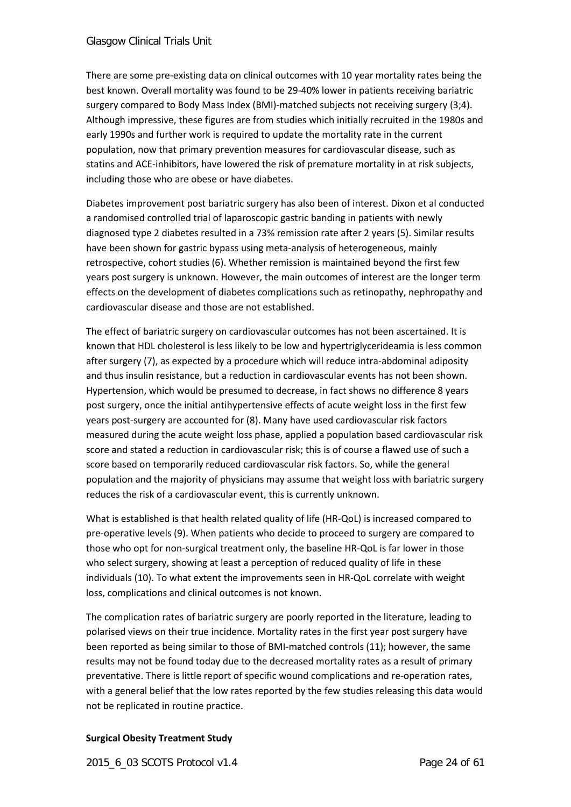There are some pre-existing data on clinical outcomes with 10 year mortality rates being the best known. Overall mortality was found to be 29-40% lower in patients receiving bariatric surgery compared to Body Mass Index (BMI)-matched subjects not receiving surgery (3;4). Although impressive, these figures are from studies which initially recruited in the 1980s and early 1990s and further work is required to update the mortality rate in the current population, now that primary prevention measures for cardiovascular disease, such as statins and ACE-inhibitors, have lowered the risk of premature mortality in at risk subjects, including those who are obese or have diabetes.

Diabetes improvement post bariatric surgery has also been of interest. Dixon et al conducted a randomised controlled trial of laparoscopic gastric banding in patients with newly diagnosed type 2 diabetes resulted in a 73% remission rate after 2 years (5). Similar results have been shown for gastric bypass using meta-analysis of heterogeneous, mainly retrospective, cohort studies (6). Whether remission is maintained beyond the first few years post surgery is unknown. However, the main outcomes of interest are the longer term effects on the development of diabetes complications such as retinopathy, nephropathy and cardiovascular disease and those are not established.

The effect of bariatric surgery on cardiovascular outcomes has not been ascertained. It is known that HDL cholesterol is less likely to be low and hypertriglycerideamia is less common after surgery (7), as expected by a procedure which will reduce intra-abdominal adiposity and thus insulin resistance, but a reduction in cardiovascular events has not been shown. Hypertension, which would be presumed to decrease, in fact shows no difference 8 years post surgery, once the initial antihypertensive effects of acute weight loss in the first few years post-surgery are accounted for (8). Many have used cardiovascular risk factors measured during the acute weight loss phase, applied a population based cardiovascular risk score and stated a reduction in cardiovascular risk; this is of course a flawed use of such a score based on temporarily reduced cardiovascular risk factors. So, while the general population and the majority of physicians may assume that weight loss with bariatric surgery reduces the risk of a cardiovascular event, this is currently unknown.

What is established is that health related quality of life (HR-QoL) is increased compared to pre-operative levels (9). When patients who decide to proceed to surgery are compared to those who opt for non-surgical treatment only, the baseline HR-QoL is far lower in those who select surgery, showing at least a perception of reduced quality of life in these individuals (10). To what extent the improvements seen in HR-QoL correlate with weight loss, complications and clinical outcomes is not known.

The complication rates of bariatric surgery are poorly reported in the literature, leading to polarised views on their true incidence. Mortality rates in the first year post surgery have been reported as being similar to those of BMI-matched controls (11); however, the same results may not be found today due to the decreased mortality rates as a result of primary preventative. There is little report of specific wound complications and re-operation rates, with a general belief that the low rates reported by the few studies releasing this data would not be replicated in routine practice.

#### **Surgical Obesity Treatment Study**

2015 6 03 SCOTS Protocol v1.4 Page 24 of 61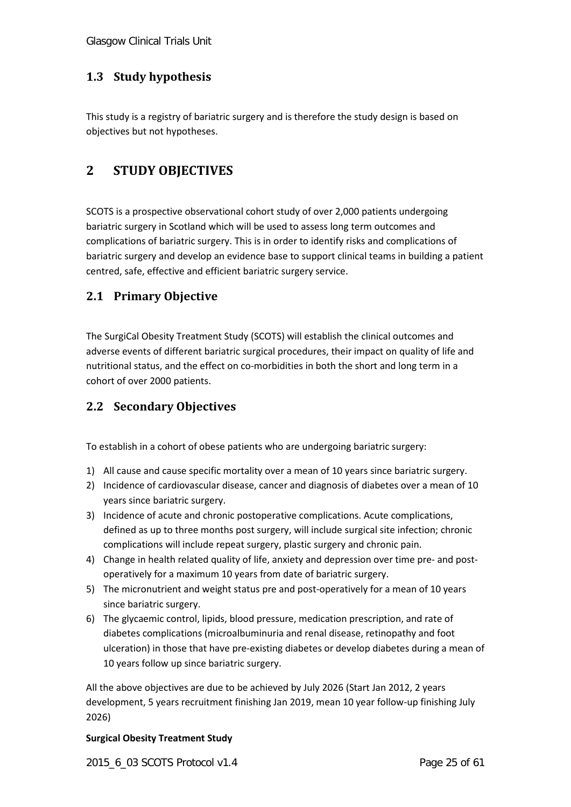### <span id="page-24-0"></span>**1.3 Study hypothesis**

This study is a registry of bariatric surgery and is therefore the study design is based on objectives but not hypotheses.

### <span id="page-24-1"></span>**2 STUDY OBJECTIVES**

SCOTS is a prospective observational cohort study of over 2,000 patients undergoing bariatric surgery in Scotland which will be used to assess long term outcomes and complications of bariatric surgery. This is in order to identify risks and complications of bariatric surgery and develop an evidence base to support clinical teams in building a patient centred, safe, effective and efficient bariatric surgery service.

### <span id="page-24-2"></span>**2.1 Primary Objective**

The SurgiCal Obesity Treatment Study (SCOTS) will establish the clinical outcomes and adverse events of different bariatric surgical procedures, their impact on quality of life and nutritional status, and the effect on co-morbidities in both the short and long term in a cohort of over 2000 patients.

### <span id="page-24-3"></span>**2.2 Secondary Objectives**

To establish in a cohort of obese patients who are undergoing bariatric surgery:

- 1) All cause and cause specific mortality over a mean of 10 years since bariatric surgery.
- 2) Incidence of cardiovascular disease, cancer and diagnosis of diabetes over a mean of 10 years since bariatric surgery.
- 3) Incidence of acute and chronic postoperative complications. Acute complications, defined as up to three months post surgery, will include surgical site infection; chronic complications will include repeat surgery, plastic surgery and chronic pain.
- 4) Change in health related quality of life, anxiety and depression over time pre- and postoperatively for a maximum 10 years from date of bariatric surgery.
- 5) The micronutrient and weight status pre and post-operatively for a mean of 10 years since bariatric surgery.
- 6) The glycaemic control, lipids, blood pressure, medication prescription, and rate of diabetes complications (microalbuminuria and renal disease, retinopathy and foot ulceration) in those that have pre-existing diabetes or develop diabetes during a mean of 10 years follow up since bariatric surgery.

All the above objectives are due to be achieved by July 2026 (Start Jan 2012, 2 years development, 5 years recruitment finishing Jan 2019, mean 10 year follow-up finishing July 2026)

#### **Surgical Obesity Treatment Study**

2015\_6\_03 SCOTS Protocol v1.4 Page 25 of 61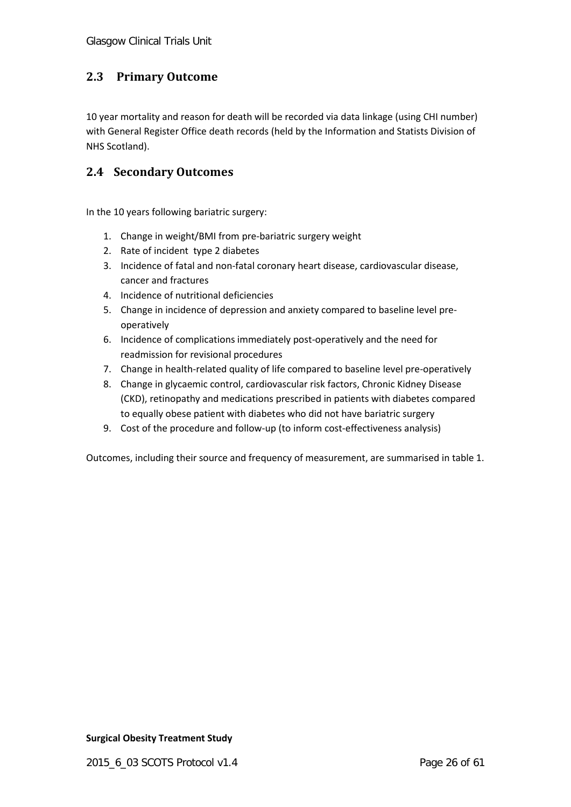### <span id="page-25-0"></span>**2.3 Primary Outcome**

10 year mortality and reason for death will be recorded via data linkage (using CHI number) with General Register Office death records (held by the Information and Statists Division of NHS Scotland).

### <span id="page-25-1"></span>**2.4 Secondary Outcomes**

In the 10 years following bariatric surgery:

- 1. Change in weight/BMI from pre-bariatric surgery weight
- 2. Rate of incident type 2 diabetes
- 3. Incidence of fatal and non-fatal coronary heart disease, cardiovascular disease, cancer and fractures
- 4. Incidence of nutritional deficiencies
- 5. Change in incidence of depression and anxiety compared to baseline level preoperatively
- 6. Incidence of complications immediately post-operatively and the need for readmission for revisional procedures
- 7. Change in health-related quality of life compared to baseline level pre-operatively
- 8. Change in glycaemic control, cardiovascular risk factors, Chronic Kidney Disease (CKD), retinopathy and medications prescribed in patients with diabetes compared to equally obese patient with diabetes who did not have bariatric surgery
- 9. Cost of the procedure and follow-up (to inform cost-effectiveness analysis)

Outcomes, including their source and frequency of measurement, are summarised in table 1.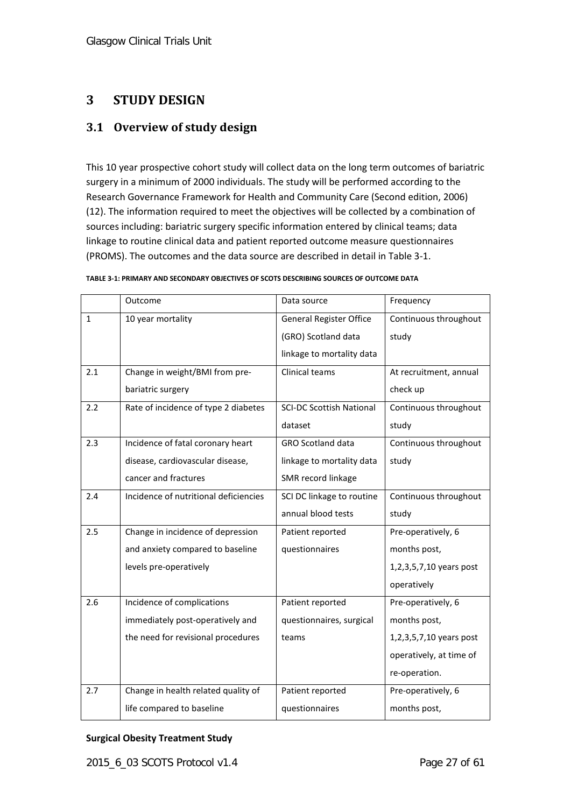### <span id="page-26-0"></span>**3 STUDY DESIGN**

### <span id="page-26-1"></span>**3.1 Overview of study design**

This 10 year prospective cohort study will collect data on the long term outcomes of bariatric surgery in a minimum of 2000 individuals. The study will be performed according to the Research Governance Framework for Health and Community Care (Second edition, 2006) (12). The information required to meet the objectives will be collected by a combination of sources including: bariatric surgery specific information entered by clinical teams; data linkage to routine clinical data and patient reported outcome measure questionnaires (PROMS). The outcomes and the data source are described in detail in [Table 3-1.](#page-26-2)

|              | Outcome                               | Data source                     | Frequency               |
|--------------|---------------------------------------|---------------------------------|-------------------------|
| $\mathbf{1}$ | 10 year mortality                     | <b>General Register Office</b>  | Continuous throughout   |
|              |                                       | (GRO) Scotland data             | study                   |
|              |                                       | linkage to mortality data       |                         |
| 2.1          | Change in weight/BMI from pre-        | Clinical teams                  | At recruitment, annual  |
|              | bariatric surgery                     |                                 | check up                |
| 2.2          | Rate of incidence of type 2 diabetes  | <b>SCI-DC Scottish National</b> | Continuous throughout   |
|              |                                       | dataset                         | study                   |
| 2.3          | Incidence of fatal coronary heart     | <b>GRO Scotland data</b>        | Continuous throughout   |
|              | disease, cardiovascular disease,      | linkage to mortality data       | study                   |
|              | cancer and fractures                  | SMR record linkage              |                         |
| 2.4          | Incidence of nutritional deficiencies | SCI DC linkage to routine       | Continuous throughout   |
|              |                                       | annual blood tests              | study                   |
| 2.5          | Change in incidence of depression     | Patient reported                | Pre-operatively, 6      |
|              | and anxiety compared to baseline      | questionnaires                  | months post,            |
|              | levels pre-operatively                |                                 | 1,2,3,5,7,10 years post |
|              |                                       |                                 | operatively             |
| 2.6          | Incidence of complications            | Patient reported                | Pre-operatively, 6      |
|              | immediately post-operatively and      | questionnaires, surgical        | months post,            |
|              | the need for revisional procedures    | teams                           | 1,2,3,5,7,10 years post |
|              |                                       |                                 | operatively, at time of |
|              |                                       |                                 | re-operation.           |
| 2.7          | Change in health related quality of   | Patient reported                | Pre-operatively, 6      |
|              | life compared to baseline             | questionnaires                  | months post,            |

<span id="page-26-2"></span>

| TABLE 3-1: PRIMARY AND SECONDARY OBJECTIVES OF SCOTS DESCRIBING SOURCES OF OUTCOME DATA |  |  |
|-----------------------------------------------------------------------------------------|--|--|
|                                                                                         |  |  |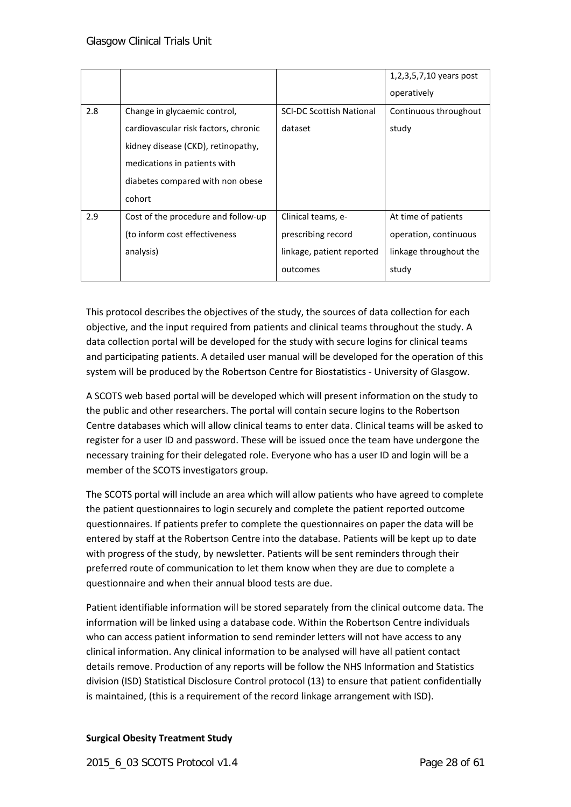|     |                                      |                                 | $1, 2, 3, 5, 7, 10$ years post |
|-----|--------------------------------------|---------------------------------|--------------------------------|
|     |                                      |                                 | operatively                    |
| 2.8 | Change in glycaemic control,         | <b>SCI-DC Scottish National</b> | Continuous throughout          |
|     | cardiovascular risk factors, chronic | dataset                         | study                          |
|     | kidney disease (CKD), retinopathy,   |                                 |                                |
|     | medications in patients with         |                                 |                                |
|     | diabetes compared with non obese     |                                 |                                |
|     | cohort                               |                                 |                                |
| 2.9 | Cost of the procedure and follow-up  | Clinical teams, e-              | At time of patients            |
|     | (to inform cost effectiveness        | prescribing record              | operation, continuous          |
|     | analysis)                            | linkage, patient reported       | linkage throughout the         |
|     |                                      | outcomes                        | study                          |

This protocol describes the objectives of the study, the sources of data collection for each objective, and the input required from patients and clinical teams throughout the study. A data collection portal will be developed for the study with secure logins for clinical teams and participating patients. A detailed user manual will be developed for the operation of this system will be produced by the Robertson Centre for Biostatistics - University of Glasgow.

A SCOTS web based portal will be developed which will present information on the study to the public and other researchers. The portal will contain secure logins to the Robertson Centre databases which will allow clinical teams to enter data. Clinical teams will be asked to register for a user ID and password. These will be issued once the team have undergone the necessary training for their delegated role. Everyone who has a user ID and login will be a member of the SCOTS investigators group.

The SCOTS portal will include an area which will allow patients who have agreed to complete the patient questionnaires to login securely and complete the patient reported outcome questionnaires. If patients prefer to complete the questionnaires on paper the data will be entered by staff at the Robertson Centre into the database. Patients will be kept up to date with progress of the study, by newsletter. Patients will be sent reminders through their preferred route of communication to let them know when they are due to complete a questionnaire and when their annual blood tests are due.

Patient identifiable information will be stored separately from the clinical outcome data. The information will be linked using a database code. Within the Robertson Centre individuals who can access patient information to send reminder letters will not have access to any clinical information. Any clinical information to be analysed will have all patient contact details remove. Production of any reports will be follow the NHS Information and Statistics division (ISD) Statistical Disclosure Control protocol (13) to ensure that patient confidentially is maintained, (this is a requirement of the record linkage arrangement with ISD).

#### **Surgical Obesity Treatment Study**

2015\_6\_03 SCOTS Protocol v1.4 Page 28 of 61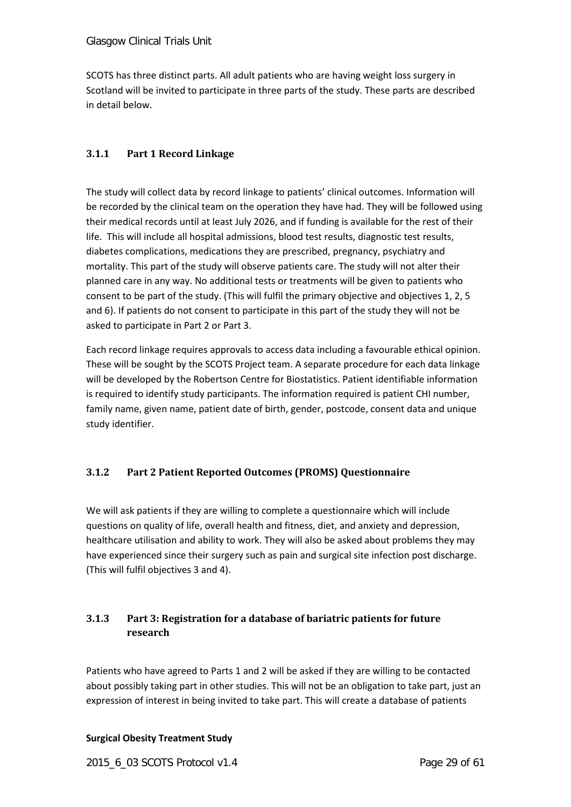SCOTS has three distinct parts. All adult patients who are having weight loss surgery in Scotland will be invited to participate in three parts of the study. These parts are described in detail below.

### <span id="page-28-0"></span>**3.1.1 Part 1 Record Linkage**

The study will collect data by record linkage to patients' clinical outcomes. Information will be recorded by the clinical team on the operation they have had. They will be followed using their medical records until at least July 2026, and if funding is available for the rest of their life. This will include all hospital admissions, blood test results, diagnostic test results, diabetes complications, medications they are prescribed, pregnancy, psychiatry and mortality. This part of the study will observe patients care. The study will not alter their planned care in any way. No additional tests or treatments will be given to patients who consent to be part of the study. (This will fulfil the primary objective and objectives 1, 2, 5 and 6). If patients do not consent to participate in this part of the study they will not be asked to participate in Part 2 or Part 3.

Each record linkage requires approvals to access data including a favourable ethical opinion. These will be sought by the SCOTS Project team. A separate procedure for each data linkage will be developed by the Robertson Centre for Biostatistics. Patient identifiable information is required to identify study participants. The information required is patient CHI number, family name, given name, patient date of birth, gender, postcode, consent data and unique study identifier.

### <span id="page-28-1"></span>**3.1.2 Part 2 Patient Reported Outcomes (PROMS) Questionnaire**

We will ask patients if they are willing to complete a questionnaire which will include questions on quality of life, overall health and fitness, diet, and anxiety and depression, healthcare utilisation and ability to work. They will also be asked about problems they may have experienced since their surgery such as pain and surgical site infection post discharge. (This will fulfil objectives 3 and 4).

### <span id="page-28-2"></span>**3.1.3 Part 3: Registration for a database of bariatric patients for future research**

Patients who have agreed to Parts 1 and 2 will be asked if they are willing to be contacted about possibly taking part in other studies. This will not be an obligation to take part, just an expression of interest in being invited to take part. This will create a database of patients

### **Surgical Obesity Treatment Study**

2015\_6\_03 SCOTS Protocol v1.4 Page 29 of 61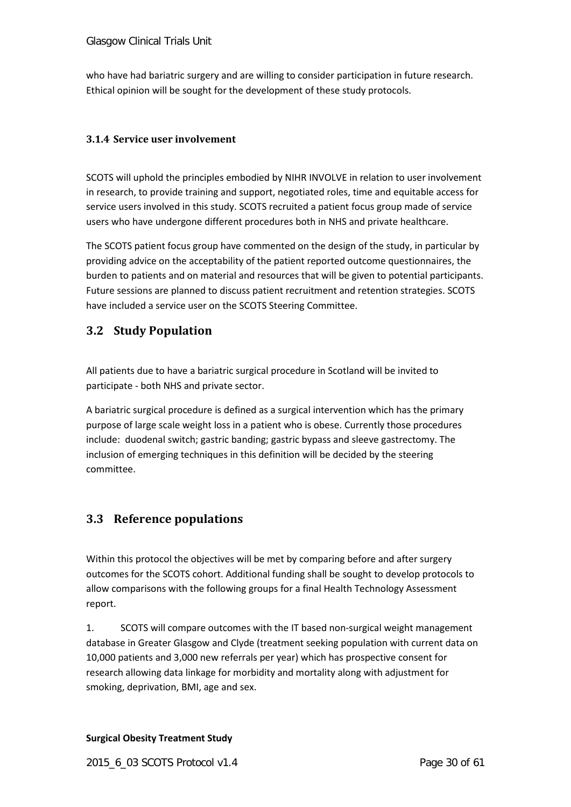who have had bariatric surgery and are willing to consider participation in future research. Ethical opinion will be sought for the development of these study protocols.

### <span id="page-29-0"></span>**3.1.4 Service user involvement**

SCOTS will uphold the principles embodied by NIHR INVOLVE in relation to user involvement in research, to provide training and support, negotiated roles, time and equitable access for service users involved in this study. SCOTS recruited a patient focus group made of service users who have undergone different procedures both in NHS and private healthcare.

The SCOTS patient focus group have commented on the design of the study, in particular by providing advice on the acceptability of the patient reported outcome questionnaires, the burden to patients and on material and resources that will be given to potential participants. Future sessions are planned to discuss patient recruitment and retention strategies. SCOTS have included a service user on the SCOTS Steering Committee.

### <span id="page-29-1"></span>**3.2 Study Population**

All patients due to have a bariatric surgical procedure in Scotland will be invited to participate - both NHS and private sector.

A bariatric surgical procedure is defined as a surgical intervention which has the primary purpose of large scale weight loss in a patient who is obese. Currently those procedures include: duodenal switch; gastric banding; gastric bypass and sleeve gastrectomy. The inclusion of emerging techniques in this definition will be decided by the steering committee.

### <span id="page-29-2"></span>**3.3 Reference populations**

Within this protocol the objectives will be met by comparing before and after surgery outcomes for the SCOTS cohort. Additional funding shall be sought to develop protocols to allow comparisons with the following groups for a final Health Technology Assessment report.

1. SCOTS will compare outcomes with the IT based non-surgical weight management database in Greater Glasgow and Clyde (treatment seeking population with current data on 10,000 patients and 3,000 new referrals per year) which has prospective consent for research allowing data linkage for morbidity and mortality along with adjustment for smoking, deprivation, BMI, age and sex.

#### **Surgical Obesity Treatment Study**

2015\_6\_03 SCOTS Protocol v1.4 Page 30 of 61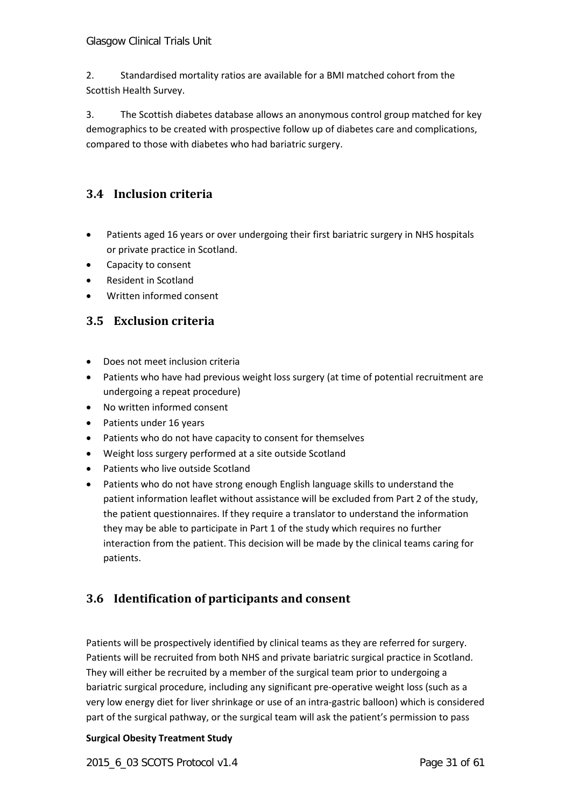2. Standardised mortality ratios are available for a BMI matched cohort from the Scottish Health Survey.

3. The Scottish diabetes database allows an anonymous control group matched for key demographics to be created with prospective follow up of diabetes care and complications, compared to those with diabetes who had bariatric surgery.

### <span id="page-30-0"></span>**3.4 Inclusion criteria**

- Patients aged 16 years or over undergoing their first bariatric surgery in NHS hospitals or private practice in Scotland.
- Capacity to consent
- Resident in Scotland
- Written informed consent

### <span id="page-30-1"></span>**3.5 Exclusion criteria**

- Does not meet inclusion criteria
- Patients who have had previous weight loss surgery (at time of potential recruitment are undergoing a repeat procedure)
- No written informed consent
- Patients under 16 years
- Patients who do not have capacity to consent for themselves
- Weight loss surgery performed at a site outside Scotland
- Patients who live outside Scotland
- Patients who do not have strong enough English language skills to understand the patient information leaflet without assistance will be excluded from Part 2 of the study, the patient questionnaires. If they require a translator to understand the information they may be able to participate in Part 1 of the study which requires no further interaction from the patient. This decision will be made by the clinical teams caring for patients.

### <span id="page-30-2"></span>**3.6 Identification of participants and consent**

Patients will be prospectively identified by clinical teams as they are referred for surgery. Patients will be recruited from both NHS and private bariatric surgical practice in Scotland. They will either be recruited by a member of the surgical team prior to undergoing a bariatric surgical procedure, including any significant pre-operative weight loss (such as a very low energy diet for liver shrinkage or use of an intra-gastric balloon) which is considered part of the surgical pathway, or the surgical team will ask the patient's permission to pass

### **Surgical Obesity Treatment Study**

2015\_6\_03 SCOTS Protocol v1.4 Page 31 of 61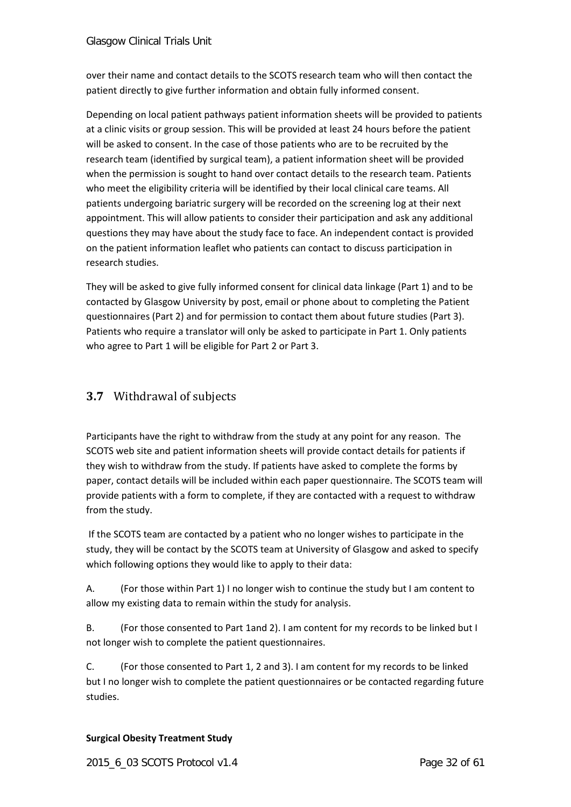over their name and contact details to the SCOTS research team who will then contact the patient directly to give further information and obtain fully informed consent.

Depending on local patient pathways patient information sheets will be provided to patients at a clinic visits or group session. This will be provided at least 24 hours before the patient will be asked to consent. In the case of those patients who are to be recruited by the research team (identified by surgical team), a patient information sheet will be provided when the permission is sought to hand over contact details to the research team. Patients who meet the eligibility criteria will be identified by their local clinical care teams. All patients undergoing bariatric surgery will be recorded on the screening log at their next appointment. This will allow patients to consider their participation and ask any additional questions they may have about the study face to face. An independent contact is provided on the patient information leaflet who patients can contact to discuss participation in research studies.

They will be asked to give fully informed consent for clinical data linkage (Part 1) and to be contacted by Glasgow University by post, email or phone about to completing the Patient questionnaires (Part 2) and for permission to contact them about future studies (Part 3). Patients who require a translator will only be asked to participate in Part 1. Only patients who agree to Part 1 will be eligible for Part 2 or Part 3.

### <span id="page-31-0"></span>**3.7** Withdrawal of subjects

Participants have the right to withdraw from the study at any point for any reason. The SCOTS web site and patient information sheets will provide contact details for patients if they wish to withdraw from the study. If patients have asked to complete the forms by paper, contact details will be included within each paper questionnaire. The SCOTS team will provide patients with a form to complete, if they are contacted with a request to withdraw from the study.

If the SCOTS team are contacted by a patient who no longer wishes to participate in the study, they will be contact by the SCOTS team at University of Glasgow and asked to specify which following options they would like to apply to their data:

A. (For those within Part 1) I no longer wish to continue the study but I am content to allow my existing data to remain within the study for analysis.

B. (For those consented to Part 1and 2). I am content for my records to be linked but I not longer wish to complete the patient questionnaires.

C. (For those consented to Part 1, 2 and 3). I am content for my records to be linked but I no longer wish to complete the patient questionnaires or be contacted regarding future studies.

### **Surgical Obesity Treatment Study**

2015\_6\_03 SCOTS Protocol v1.4 Page 32 of 61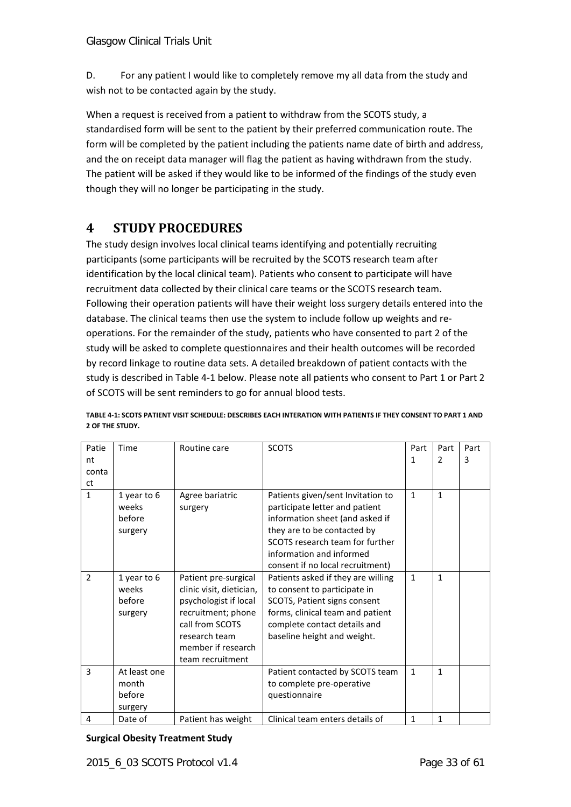D. For any patient I would like to completely remove my all data from the study and wish not to be contacted again by the study.

When a request is received from a patient to withdraw from the SCOTS study, a standardised form will be sent to the patient by their preferred communication route. The form will be completed by the patient including the patients name date of birth and address, and the on receipt data manager will flag the patient as having withdrawn from the study. The patient will be asked if they would like to be informed of the findings of the study even though they will no longer be participating in the study.

### <span id="page-32-0"></span>**4 STUDY PROCEDURES**

The study design involves local clinical teams identifying and potentially recruiting participants (some participants will be recruited by the SCOTS research team after identification by the local clinical team). Patients who consent to participate will have recruitment data collected by their clinical care teams or the SCOTS research team. Following their operation patients will have their weight loss surgery details entered into the database. The clinical teams then use the system to include follow up weights and reoperations. For the remainder of the study, patients who have consented to part 2 of the study will be asked to complete questionnaires and their health outcomes will be recorded by record linkage to routine data sets. A detailed breakdown of patient contacts with the study is described in [Table 4-1](#page-32-1) below. Please note all patients who consent to Part 1 or Part 2 of SCOTS will be sent reminders to go for annual blood tests.

| Patie<br>nt<br>conta<br>ct | Time                                       | Routine care                                                                                                                                                                  | <b>SCOTS</b>                                                                                                                                                                                                                             | Part<br>1    | Part<br>2    | Part<br>3 |
|----------------------------|--------------------------------------------|-------------------------------------------------------------------------------------------------------------------------------------------------------------------------------|------------------------------------------------------------------------------------------------------------------------------------------------------------------------------------------------------------------------------------------|--------------|--------------|-----------|
| $\mathbf{1}$               | 1 year to 6<br>weeks<br>before<br>surgery  | Agree bariatric<br>surgery                                                                                                                                                    | Patients given/sent Invitation to<br>participate letter and patient<br>information sheet (and asked if<br>they are to be contacted by<br>SCOTS research team for further<br>information and informed<br>consent if no local recruitment) | $\mathbf{1}$ | $\mathbf{1}$ |           |
| $\overline{2}$             | 1 year to 6<br>weeks<br>before<br>surgery  | Patient pre-surgical<br>clinic visit, dietician,<br>psychologist if local<br>recruitment; phone<br>call from SCOTS<br>research team<br>member if research<br>team recruitment | Patients asked if they are willing<br>to consent to participate in<br>SCOTS, Patient signs consent<br>forms, clinical team and patient<br>complete contact details and<br>baseline height and weight.                                    | $\mathbf{1}$ | $\mathbf{1}$ |           |
| 3                          | At least one<br>month<br>before<br>surgery |                                                                                                                                                                               | Patient contacted by SCOTS team<br>to complete pre-operative<br>questionnaire                                                                                                                                                            | $\mathbf{1}$ | $\mathbf{1}$ |           |
| 4                          | Date of                                    | Patient has weight                                                                                                                                                            | Clinical team enters details of                                                                                                                                                                                                          | $\mathbf{1}$ | $\mathbf{1}$ |           |

<span id="page-32-1"></span>**TABLE 4-1: SCOTS PATIENT VISIT SCHEDULE: DESCRIBES EACH INTERATION WITH PATIENTS IF THEY CONSENT TO PART 1 AND 2 OF THE STUDY.**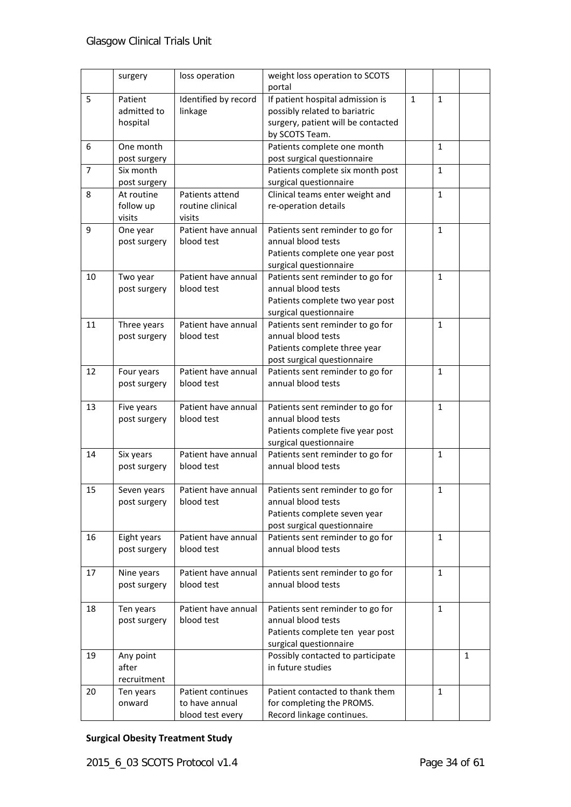|    | surgery                            | loss operation                                          | weight loss operation to SCOTS<br>portal                                                                                  |              |              |              |
|----|------------------------------------|---------------------------------------------------------|---------------------------------------------------------------------------------------------------------------------------|--------------|--------------|--------------|
| 5  | Patient<br>admitted to<br>hospital | Identified by record<br>linkage                         | If patient hospital admission is<br>possibly related to bariatric<br>surgery, patient will be contacted<br>by SCOTS Team. | $\mathbf{1}$ | $\mathbf{1}$ |              |
| 6  | One month<br>post surgery          |                                                         | Patients complete one month<br>post surgical questionnaire                                                                |              | 1            |              |
| 7  | Six month<br>post surgery          |                                                         | Patients complete six month post<br>surgical questionnaire                                                                |              | $\mathbf{1}$ |              |
| 8  | At routine<br>follow up<br>visits  | Patients attend<br>routine clinical<br>visits           | Clinical teams enter weight and<br>re-operation details                                                                   |              | $\mathbf{1}$ |              |
| 9  | One year<br>post surgery           | Patient have annual<br>blood test                       | Patients sent reminder to go for<br>annual blood tests<br>Patients complete one year post<br>surgical questionnaire       |              | $\mathbf{1}$ |              |
| 10 | Two year<br>post surgery           | Patient have annual<br>blood test                       | Patients sent reminder to go for<br>annual blood tests<br>Patients complete two year post<br>surgical questionnaire       |              | $\mathbf{1}$ |              |
| 11 | Three years<br>post surgery        | Patient have annual<br>blood test                       | Patients sent reminder to go for<br>annual blood tests<br>Patients complete three year<br>post surgical questionnaire     |              | 1            |              |
| 12 | Four years<br>post surgery         | Patient have annual<br>blood test                       | Patients sent reminder to go for<br>annual blood tests                                                                    |              | $\mathbf{1}$ |              |
| 13 | Five years<br>post surgery         | Patient have annual<br>blood test                       | Patients sent reminder to go for<br>annual blood tests<br>Patients complete five year post<br>surgical questionnaire      |              | $\mathbf{1}$ |              |
| 14 | Six years<br>post surgery          | Patient have annual<br>blood test                       | Patients sent reminder to go for<br>annual blood tests                                                                    |              | $\mathbf{1}$ |              |
| 15 | Seven years<br>post surgery        | Patient have annual<br>blood test                       | Patients sent reminder to go for<br>annual blood tests<br>Patients complete seven year<br>post surgical questionnaire     |              | $\mathbf{1}$ |              |
| 16 | Eight years<br>post surgery        | Patient have annual<br>blood test                       | Patients sent reminder to go for<br>annual blood tests                                                                    |              | 1            |              |
| 17 | Nine years<br>post surgery         | Patient have annual<br>blood test                       | Patients sent reminder to go for<br>annual blood tests                                                                    |              | 1            |              |
| 18 | Ten years<br>post surgery          | Patient have annual<br>blood test                       | Patients sent reminder to go for<br>annual blood tests<br>Patients complete ten year post<br>surgical questionnaire       |              | $\mathbf{1}$ |              |
| 19 | Any point<br>after<br>recruitment  |                                                         | Possibly contacted to participate<br>in future studies                                                                    |              |              | $\mathbf{1}$ |
| 20 | Ten years<br>onward                | Patient continues<br>to have annual<br>blood test every | Patient contacted to thank them<br>for completing the PROMS.<br>Record linkage continues.                                 |              | 1            |              |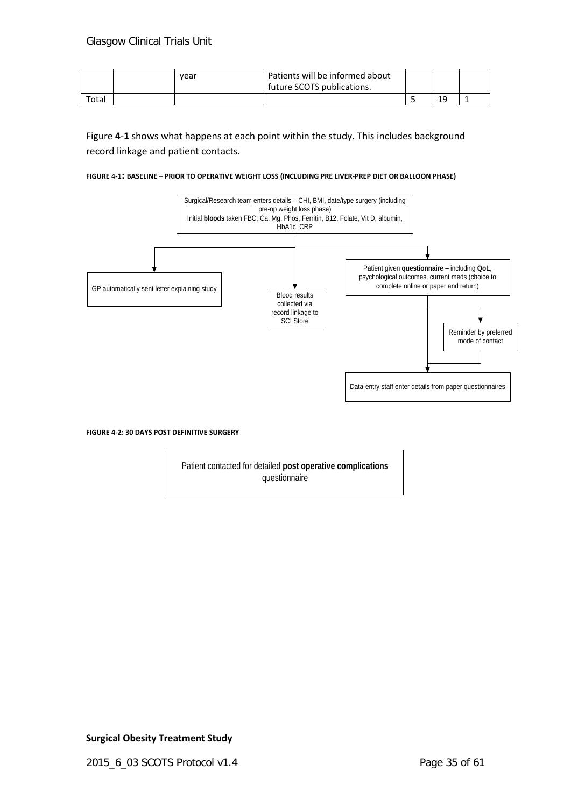|       | vear | Patients will be informed about<br>future SCOTS publications. |    |  |
|-------|------|---------------------------------------------------------------|----|--|
| Total |      |                                                               | 1۵ |  |

[Figure](#page-34-0) **4**-**1** shows what happens at each point within the study. This includes background record linkage and patient contacts.

#### <span id="page-34-0"></span>**FIGURE** 4**-**1**: BASELINE – PRIOR TO OPERATIVE WEIGHT LOSS (INCLUDING PRE LIVER-PREP DIET OR BALLOON PHASE)**



#### **FIGURE 4-2: 30 DAYS POST DEFINITIVE SURGERY**

Patient contacted for detailed **post operative complications** questionnaire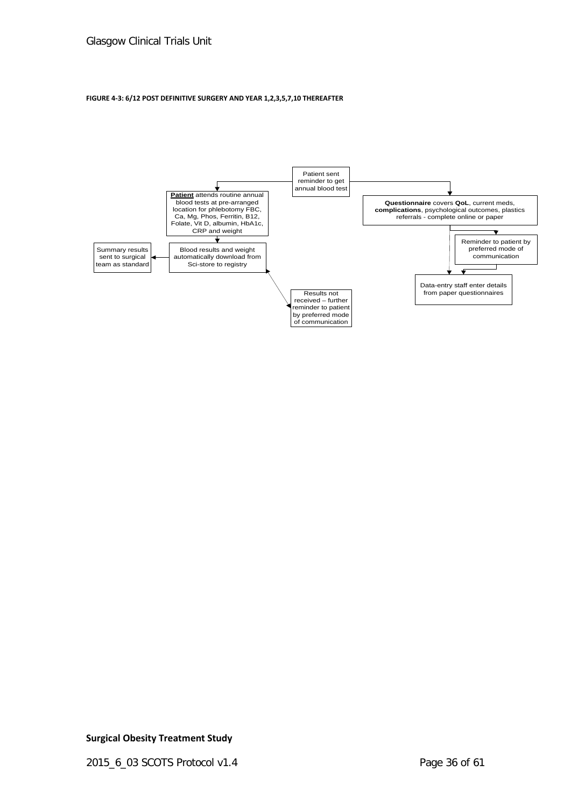#### **FIGURE 4-3: 6/12 POST DEFINITIVE SURGERY AND YEAR 1,2,3,5,7,10 THEREAFTER**

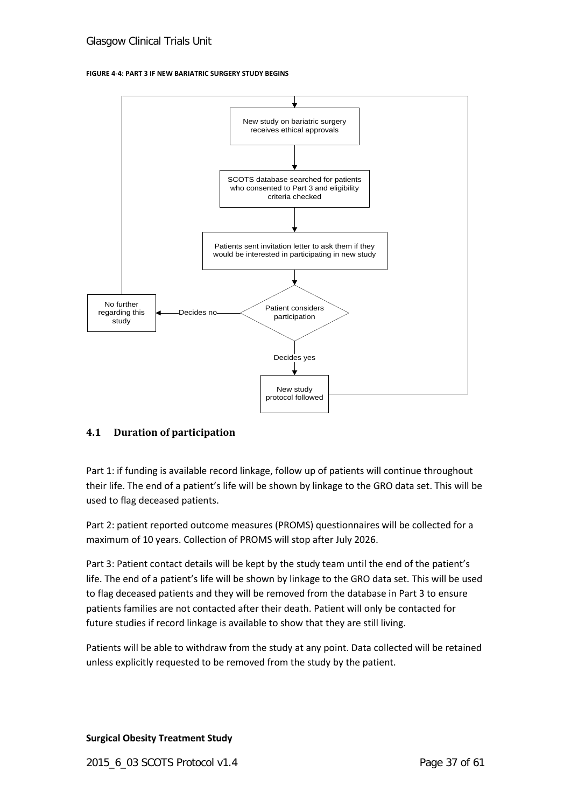#### **FIGURE 4-4: PART 3 IF NEW BARIATRIC SURGERY STUDY BEGINS**



#### <span id="page-36-0"></span>**4.1 Duration of participation**

Part 1: if funding is available record linkage, follow up of patients will continue throughout their life. The end of a patient's life will be shown by linkage to the GRO data set. This will be used to flag deceased patients.

Part 2: patient reported outcome measures (PROMS) questionnaires will be collected for a maximum of 10 years. Collection of PROMS will stop after July 2026.

Part 3: Patient contact details will be kept by the study team until the end of the patient's life. The end of a patient's life will be shown by linkage to the GRO data set. This will be used to flag deceased patients and they will be removed from the database in Part 3 to ensure patients families are not contacted after their death. Patient will only be contacted for future studies if record linkage is available to show that they are still living.

Patients will be able to withdraw from the study at any point. Data collected will be retained unless explicitly requested to be removed from the study by the patient.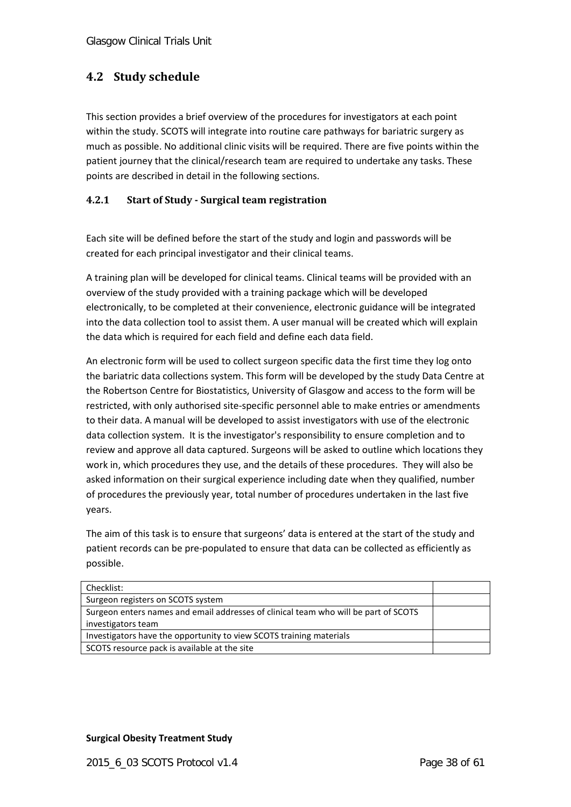### <span id="page-37-0"></span>**4.2 Study schedule**

This section provides a brief overview of the procedures for investigators at each point within the study. SCOTS will integrate into routine care pathways for bariatric surgery as much as possible. No additional clinic visits will be required. There are five points within the patient journey that the clinical/research team are required to undertake any tasks. These points are described in detail in the following sections.

### <span id="page-37-1"></span>**4.2.1 Start of Study - Surgical team registration**

Each site will be defined before the start of the study and login and passwords will be created for each principal investigator and their clinical teams.

A training plan will be developed for clinical teams. Clinical teams will be provided with an overview of the study provided with a training package which will be developed electronically, to be completed at their convenience, electronic guidance will be integrated into the data collection tool to assist them. A user manual will be created which will explain the data which is required for each field and define each data field.

An electronic form will be used to collect surgeon specific data the first time they log onto the bariatric data collections system. This form will be developed by the study Data Centre at the Robertson Centre for Biostatistics, University of Glasgow and access to the form will be restricted, with only authorised site-specific personnel able to make entries or amendments to their data. A manual will be developed to assist investigators with use of the electronic data collection system. It is the investigator's responsibility to ensure completion and to review and approve all data captured. Surgeons will be asked to outline which locations they work in, which procedures they use, and the details of these procedures. They will also be asked information on their surgical experience including date when they qualified, number of procedures the previously year, total number of procedures undertaken in the last five years.

The aim of this task is to ensure that surgeons' data is entered at the start of the study and patient records can be pre-populated to ensure that data can be collected as efficiently as possible.

| Checklist:                                                                          |  |
|-------------------------------------------------------------------------------------|--|
| Surgeon registers on SCOTS system                                                   |  |
| Surgeon enters names and email addresses of clinical team who will be part of SCOTS |  |
| investigators team                                                                  |  |
| Investigators have the opportunity to view SCOTS training materials                 |  |
| SCOTS resource pack is available at the site                                        |  |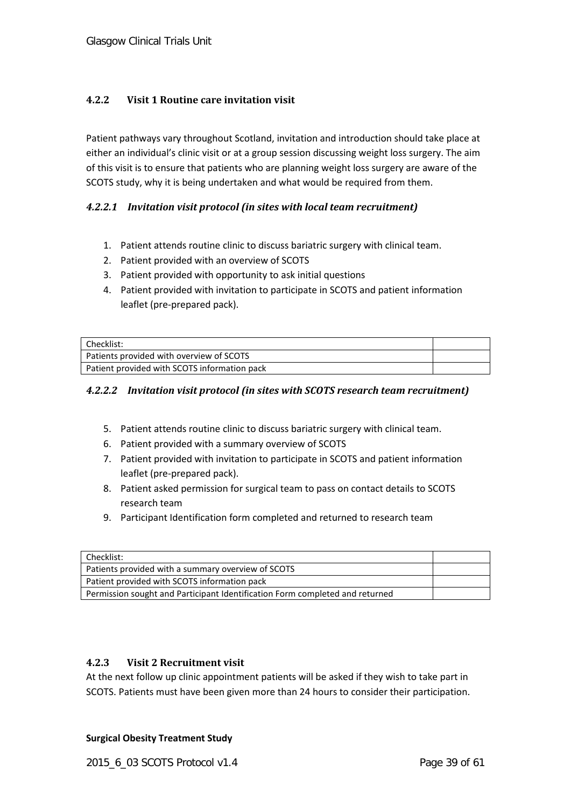### <span id="page-38-0"></span>**4.2.2 Visit 1 Routine care invitation visit**

Patient pathways vary throughout Scotland, invitation and introduction should take place at either an individual's clinic visit or at a group session discussing weight loss surgery. The aim of this visit is to ensure that patients who are planning weight loss surgery are aware of the SCOTS study, why it is being undertaken and what would be required from them.

### *4.2.2.1 Invitation visit protocol (in sites with local team recruitment)*

- 1. Patient attends routine clinic to discuss bariatric surgery with clinical team.
- 2. Patient provided with an overview of SCOTS
- 3. Patient provided with opportunity to ask initial questions
- 4. Patient provided with invitation to participate in SCOTS and patient information leaflet (pre-prepared pack).

| Checklist:                                   |  |
|----------------------------------------------|--|
| Patients provided with overview of SCOTS     |  |
| Patient provided with SCOTS information pack |  |

### *4.2.2.2 Invitation visit protocol (in sites with SCOTS research team recruitment)*

- 5. Patient attends routine clinic to discuss bariatric surgery with clinical team.
- 6. Patient provided with a summary overview of SCOTS
- 7. Patient provided with invitation to participate in SCOTS and patient information leaflet (pre-prepared pack).
- 8. Patient asked permission for surgical team to pass on contact details to SCOTS research team
- 9. Participant Identification form completed and returned to research team

| Checklist:                                                                   |  |
|------------------------------------------------------------------------------|--|
| Patients provided with a summary overview of SCOTS                           |  |
| Patient provided with SCOTS information pack                                 |  |
| Permission sought and Participant Identification Form completed and returned |  |

#### <span id="page-38-1"></span>**4.2.3 Visit 2 Recruitment visit**

At the next follow up clinic appointment patients will be asked if they wish to take part in SCOTS. Patients must have been given more than 24 hours to consider their participation.

#### **Surgical Obesity Treatment Study**

2015\_6\_03 SCOTS Protocol v1.4 Page 39 of 61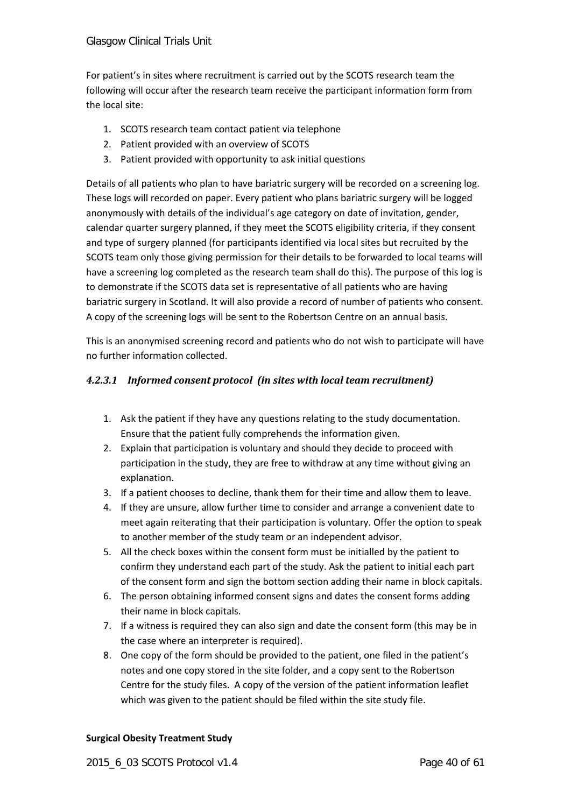For patient's in sites where recruitment is carried out by the SCOTS research team the following will occur after the research team receive the participant information form from the local site:

- 1. SCOTS research team contact patient via telephone
- 2. Patient provided with an overview of SCOTS
- 3. Patient provided with opportunity to ask initial questions

Details of all patients who plan to have bariatric surgery will be recorded on a screening log. These logs will recorded on paper. Every patient who plans bariatric surgery will be logged anonymously with details of the individual's age category on date of invitation, gender, calendar quarter surgery planned, if they meet the SCOTS eligibility criteria, if they consent and type of surgery planned (for participants identified via local sites but recruited by the SCOTS team only those giving permission for their details to be forwarded to local teams will have a screening log completed as the research team shall do this). The purpose of this log is to demonstrate if the SCOTS data set is representative of all patients who are having bariatric surgery in Scotland. It will also provide a record of number of patients who consent. A copy of the screening logs will be sent to the Robertson Centre on an annual basis.

This is an anonymised screening record and patients who do not wish to participate will have no further information collected.

### *4.2.3.1 Informed consent protocol (in sites with local team recruitment)*

- 1. Ask the patient if they have any questions relating to the study documentation. Ensure that the patient fully comprehends the information given.
- 2. Explain that participation is voluntary and should they decide to proceed with participation in the study, they are free to withdraw at any time without giving an explanation.
- 3. If a patient chooses to decline, thank them for their time and allow them to leave.
- 4. If they are unsure, allow further time to consider and arrange a convenient date to meet again reiterating that their participation is voluntary. Offer the option to speak to another member of the study team or an independent advisor.
- 5. All the check boxes within the consent form must be initialled by the patient to confirm they understand each part of the study. Ask the patient to initial each part of the consent form and sign the bottom section adding their name in block capitals.
- 6. The person obtaining informed consent signs and dates the consent forms adding their name in block capitals.
- 7. If a witness is required they can also sign and date the consent form (this may be in the case where an interpreter is required).
- 8. One copy of the form should be provided to the patient, one filed in the patient's notes and one copy stored in the site folder, and a copy sent to the Robertson Centre for the study files. A copy of the version of the patient information leaflet which was given to the patient should be filed within the site study file.

#### **Surgical Obesity Treatment Study**

2015 6 03 SCOTS Protocol v1.4 Page 40 of 61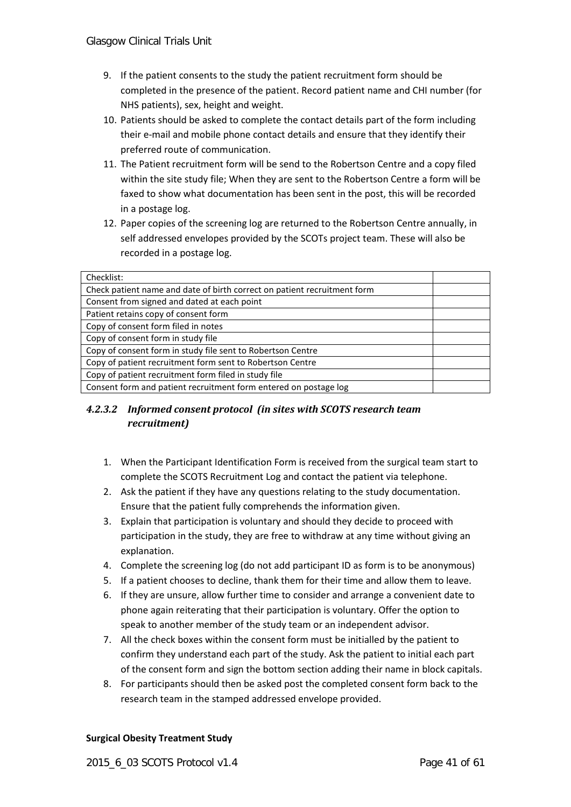- 9. If the patient consents to the study the patient recruitment form should be completed in the presence of the patient. Record patient name and CHI number (for NHS patients), sex, height and weight.
- 10. Patients should be asked to complete the contact details part of the form including their e-mail and mobile phone contact details and ensure that they identify their preferred route of communication.
- 11. The Patient recruitment form will be send to the Robertson Centre and a copy filed within the site study file; When they are sent to the Robertson Centre a form will be faxed to show what documentation has been sent in the post, this will be recorded in a postage log.
- 12. Paper copies of the screening log are returned to the Robertson Centre annually, in self addressed envelopes provided by the SCOTs project team. These will also be recorded in a postage log.

| Checklist:                                                               |  |
|--------------------------------------------------------------------------|--|
| Check patient name and date of birth correct on patient recruitment form |  |
| Consent from signed and dated at each point                              |  |
| Patient retains copy of consent form                                     |  |
| Copy of consent form filed in notes                                      |  |
| Copy of consent form in study file                                       |  |
| Copy of consent form in study file sent to Robertson Centre              |  |
| Copy of patient recruitment form sent to Robertson Centre                |  |
| Copy of patient recruitment form filed in study file                     |  |
| Consent form and patient recruitment form entered on postage log         |  |

### *4.2.3.2 Informed consent protocol (in sites with SCOTS research team recruitment)*

- 1. When the Participant Identification Form is received from the surgical team start to complete the SCOTS Recruitment Log and contact the patient via telephone.
- 2. Ask the patient if they have any questions relating to the study documentation. Ensure that the patient fully comprehends the information given.
- 3. Explain that participation is voluntary and should they decide to proceed with participation in the study, they are free to withdraw at any time without giving an explanation.
- 4. Complete the screening log (do not add participant ID as form is to be anonymous)
- 5. If a patient chooses to decline, thank them for their time and allow them to leave.
- 6. If they are unsure, allow further time to consider and arrange a convenient date to phone again reiterating that their participation is voluntary. Offer the option to speak to another member of the study team or an independent advisor.
- 7. All the check boxes within the consent form must be initialled by the patient to confirm they understand each part of the study. Ask the patient to initial each part of the consent form and sign the bottom section adding their name in block capitals.
- 8. For participants should then be asked post the completed consent form back to the research team in the stamped addressed envelope provided.

#### **Surgical Obesity Treatment Study**

2015\_6\_03 SCOTS Protocol v1.4 Page 41 of 61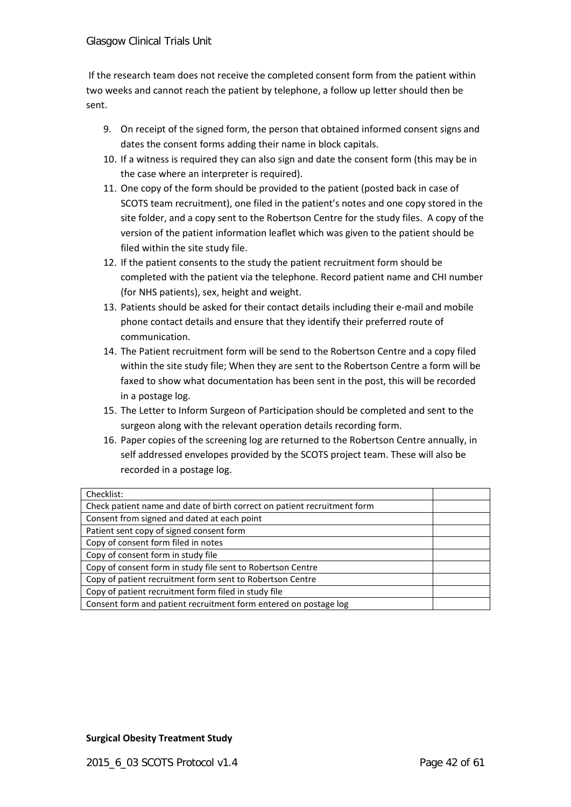If the research team does not receive the completed consent form from the patient within two weeks and cannot reach the patient by telephone, a follow up letter should then be sent.

- 9. On receipt of the signed form, the person that obtained informed consent signs and dates the consent forms adding their name in block capitals.
- 10. If a witness is required they can also sign and date the consent form (this may be in the case where an interpreter is required).
- 11. One copy of the form should be provided to the patient (posted back in case of SCOTS team recruitment), one filed in the patient's notes and one copy stored in the site folder, and a copy sent to the Robertson Centre for the study files. A copy of the version of the patient information leaflet which was given to the patient should be filed within the site study file.
- 12. If the patient consents to the study the patient recruitment form should be completed with the patient via the telephone. Record patient name and CHI number (for NHS patients), sex, height and weight.
- 13. Patients should be asked for their contact details including their e-mail and mobile phone contact details and ensure that they identify their preferred route of communication.
- 14. The Patient recruitment form will be send to the Robertson Centre and a copy filed within the site study file; When they are sent to the Robertson Centre a form will be faxed to show what documentation has been sent in the post, this will be recorded in a postage log.
- 15. The Letter to Inform Surgeon of Participation should be completed and sent to the surgeon along with the relevant operation details recording form.
- 16. Paper copies of the screening log are returned to the Robertson Centre annually, in self addressed envelopes provided by the SCOTS project team. These will also be recorded in a postage log.

| Checklist:                                                               |  |
|--------------------------------------------------------------------------|--|
| Check patient name and date of birth correct on patient recruitment form |  |
| Consent from signed and dated at each point                              |  |
| Patient sent copy of signed consent form                                 |  |
| Copy of consent form filed in notes                                      |  |
| Copy of consent form in study file                                       |  |
| Copy of consent form in study file sent to Robertson Centre              |  |
| Copy of patient recruitment form sent to Robertson Centre                |  |
| Copy of patient recruitment form filed in study file                     |  |
| Consent form and patient recruitment form entered on postage log         |  |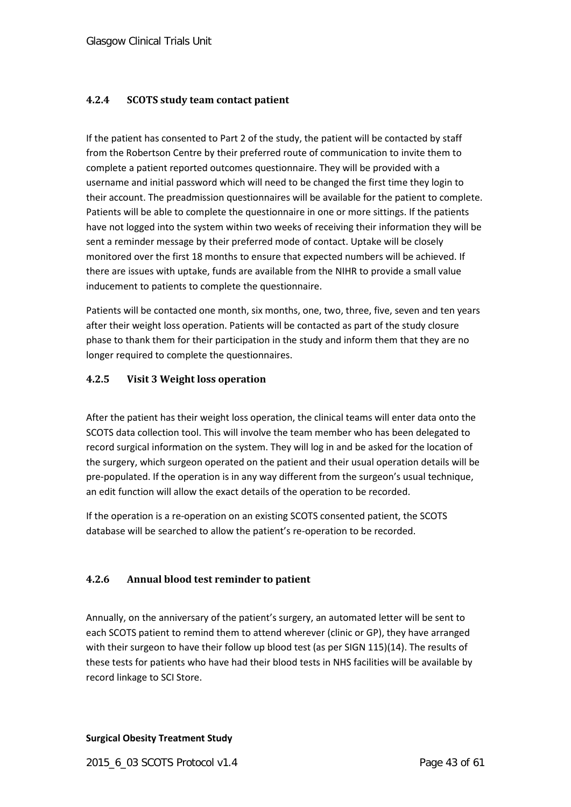### <span id="page-42-0"></span>**4.2.4 SCOTS study team contact patient**

If the patient has consented to Part 2 of the study, the patient will be contacted by staff from the Robertson Centre by their preferred route of communication to invite them to complete a patient reported outcomes questionnaire. They will be provided with a username and initial password which will need to be changed the first time they login to their account. The preadmission questionnaires will be available for the patient to complete. Patients will be able to complete the questionnaire in one or more sittings. If the patients have not logged into the system within two weeks of receiving their information they will be sent a reminder message by their preferred mode of contact. Uptake will be closely monitored over the first 18 months to ensure that expected numbers will be achieved. If there are issues with uptake, funds are available from the NIHR to provide a small value inducement to patients to complete the questionnaire.

Patients will be contacted one month, six months, one, two, three, five, seven and ten years after their weight loss operation. Patients will be contacted as part of the study closure phase to thank them for their participation in the study and inform them that they are no longer required to complete the questionnaires.

### <span id="page-42-1"></span>**4.2.5 Visit 3 Weight loss operation**

After the patient has their weight loss operation, the clinical teams will enter data onto the SCOTS data collection tool. This will involve the team member who has been delegated to record surgical information on the system. They will log in and be asked for the location of the surgery, which surgeon operated on the patient and their usual operation details will be pre-populated. If the operation is in any way different from the surgeon's usual technique, an edit function will allow the exact details of the operation to be recorded.

If the operation is a re-operation on an existing SCOTS consented patient, the SCOTS database will be searched to allow the patient's re-operation to be recorded.

### <span id="page-42-2"></span>**4.2.6 Annual blood test reminder to patient**

Annually, on the anniversary of the patient's surgery, an automated letter will be sent to each SCOTS patient to remind them to attend wherever (clinic or GP), they have arranged with their surgeon to have their follow up blood test (as per SIGN 115)(14). The results of these tests for patients who have had their blood tests in NHS facilities will be available by record linkage to SCI Store.

#### **Surgical Obesity Treatment Study**

2015\_6\_03 SCOTS Protocol v1.4 Page 43 of 61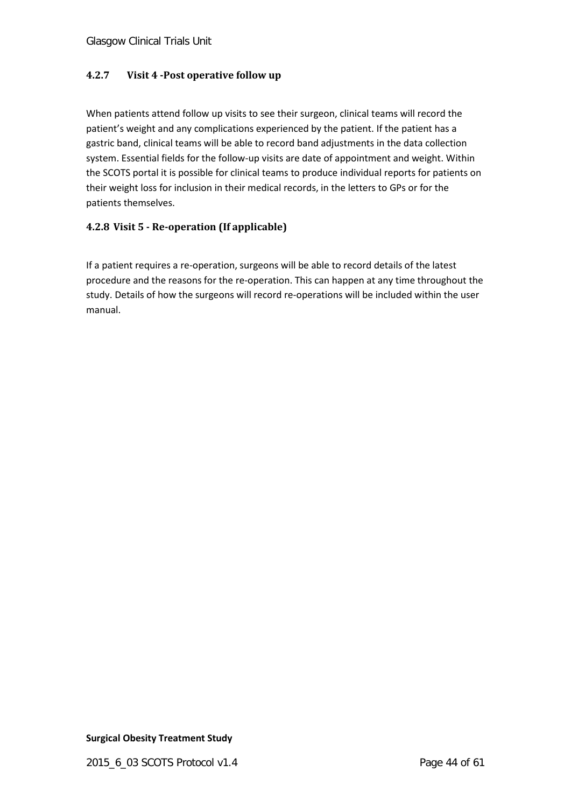### <span id="page-43-0"></span>**4.2.7 Visit 4 -Post operative follow up**

When patients attend follow up visits to see their surgeon, clinical teams will record the patient's weight and any complications experienced by the patient. If the patient has a gastric band, clinical teams will be able to record band adjustments in the data collection system. Essential fields for the follow-up visits are date of appointment and weight. Within the SCOTS portal it is possible for clinical teams to produce individual reports for patients on their weight loss for inclusion in their medical records, in the letters to GPs or for the patients themselves.

### <span id="page-43-1"></span>**4.2.8 Visit 5 - Re-operation (If applicable)**

If a patient requires a re-operation, surgeons will be able to record details of the latest procedure and the reasons for the re-operation. This can happen at any time throughout the study. Details of how the surgeons will record re-operations will be included within the user manual.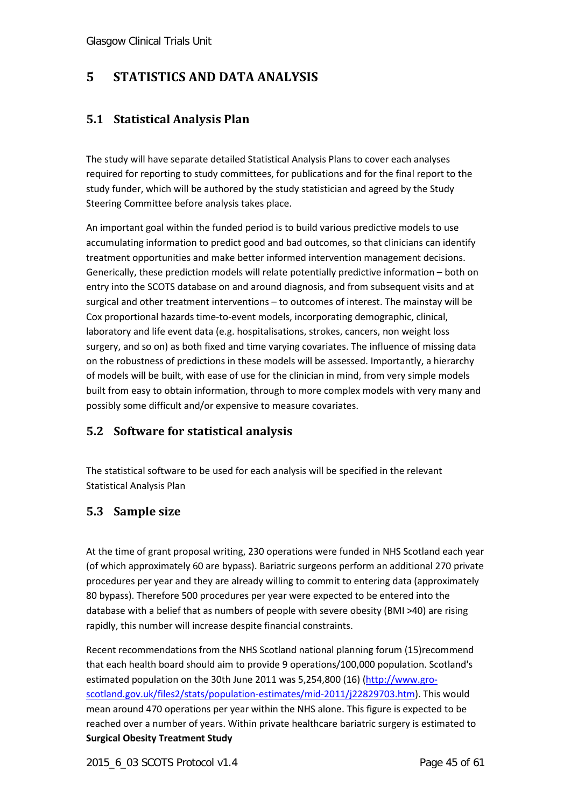## <span id="page-44-0"></span>**5 STATISTICS AND DATA ANALYSIS**

### <span id="page-44-1"></span>**5.1 Statistical Analysis Plan**

The study will have separate detailed Statistical Analysis Plans to cover each analyses required for reporting to study committees, for publications and for the final report to the study funder, which will be authored by the study statistician and agreed by the Study Steering Committee before analysis takes place.

An important goal within the funded period is to build various predictive models to use accumulating information to predict good and bad outcomes, so that clinicians can identify treatment opportunities and make better informed intervention management decisions. Generically, these prediction models will relate potentially predictive information – both on entry into the SCOTS database on and around diagnosis, and from subsequent visits and at surgical and other treatment interventions – to outcomes of interest. The mainstay will be Cox proportional hazards time-to-event models, incorporating demographic, clinical, laboratory and life event data (e.g. hospitalisations, strokes, cancers, non weight loss surgery, and so on) as both fixed and time varying covariates. The influence of missing data on the robustness of predictions in these models will be assessed. Importantly, a hierarchy of models will be built, with ease of use for the clinician in mind, from very simple models built from easy to obtain information, through to more complex models with very many and possibly some difficult and/or expensive to measure covariates.

### <span id="page-44-2"></span>**5.2 Software for statistical analysis**

The statistical software to be used for each analysis will be specified in the relevant Statistical Analysis Plan

### <span id="page-44-3"></span>**5.3 Sample size**

At the time of grant proposal writing, 230 operations were funded in NHS Scotland each year (of which approximately 60 are bypass). Bariatric surgeons perform an additional 270 private procedures per year and they are already willing to commit to entering data (approximately 80 bypass). Therefore 500 procedures per year were expected to be entered into the database with a belief that as numbers of people with severe obesity (BMI >40) are rising rapidly, this number will increase despite financial constraints.

Recent recommendations from the NHS Scotland national planning forum (15)recommend that each health board should aim to provide 9 operations/100,000 population. Scotland's estimated population on the 30th June 2011 was 5,254,800 (16) [\(http://www.gro](http://www.gro-scotland.gov.uk/files2/stats/population-estimates/mid-2011/j22829703.htm)[scotland.gov.uk/files2/stats/population-estimates/mid-2011/j22829703.htm\)](http://www.gro-scotland.gov.uk/files2/stats/population-estimates/mid-2011/j22829703.htm). This would mean around 470 operations per year within the NHS alone. This figure is expected to be reached over a number of years. Within private healthcare bariatric surgery is estimated to **Surgical Obesity Treatment Study**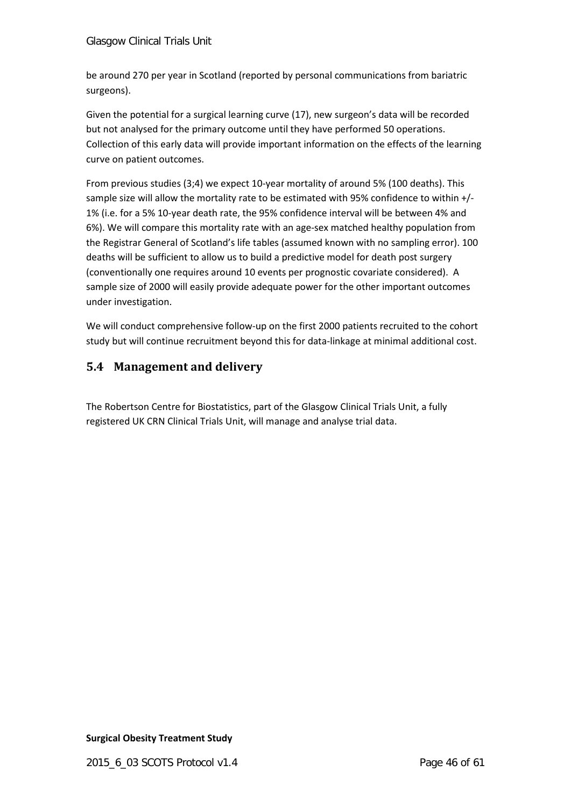be around 270 per year in Scotland (reported by personal communications from bariatric surgeons).

Given the potential for a surgical learning curve (17), new surgeon's data will be recorded but not analysed for the primary outcome until they have performed 50 operations. Collection of this early data will provide important information on the effects of the learning curve on patient outcomes.

From previous studies (3;4) we expect 10-year mortality of around 5% (100 deaths). This sample size will allow the mortality rate to be estimated with 95% confidence to within +/- 1% (i.e. for a 5% 10-year death rate, the 95% confidence interval will be between 4% and 6%). We will compare this mortality rate with an age-sex matched healthy population from the Registrar General of Scotland's life tables (assumed known with no sampling error). 100 deaths will be sufficient to allow us to build a predictive model for death post surgery (conventionally one requires around 10 events per prognostic covariate considered). A sample size of 2000 will easily provide adequate power for the other important outcomes under investigation.

We will conduct comprehensive follow-up on the first 2000 patients recruited to the cohort study but will continue recruitment beyond this for data-linkage at minimal additional cost.

### <span id="page-45-0"></span>**5.4 Management and delivery**

The Robertson Centre for Biostatistics, part of the Glasgow Clinical Trials Unit, a fully registered UK CRN Clinical Trials Unit, will manage and analyse trial data.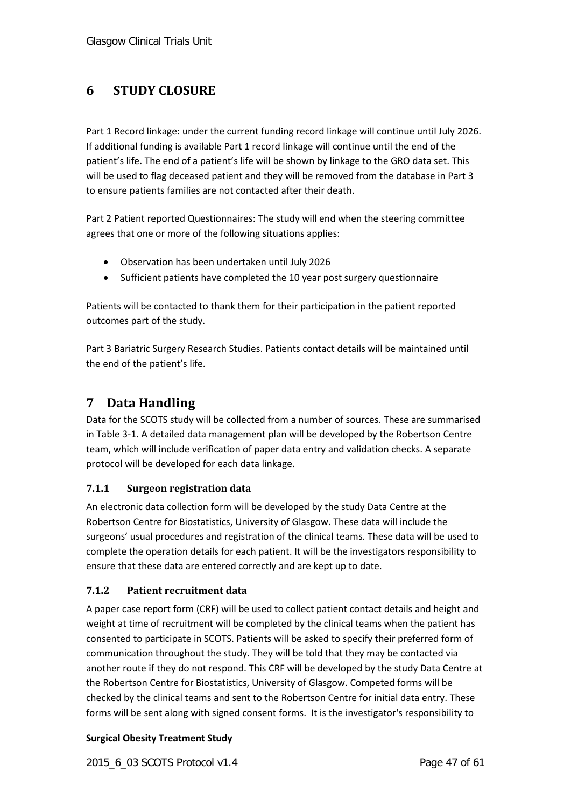### <span id="page-46-0"></span>**6 STUDY CLOSURE**

Part 1 Record linkage: under the current funding record linkage will continue until July 2026. If additional funding is available Part 1 record linkage will continue until the end of the patient's life. The end of a patient's life will be shown by linkage to the GRO data set. This will be used to flag deceased patient and they will be removed from the database in Part 3 to ensure patients families are not contacted after their death.

Part 2 Patient reported Questionnaires: The study will end when the steering committee agrees that one or more of the following situations applies:

- Observation has been undertaken until July 2026
- Sufficient patients have completed the 10 year post surgery questionnaire

Patients will be contacted to thank them for their participation in the patient reported outcomes part of the study.

Part 3 Bariatric Surgery Research Studies. Patients contact details will be maintained until the end of the patient's life.

### <span id="page-46-1"></span>**7 Data Handling**

Data for the SCOTS study will be collected from a number of sources. These are summarised i[n Table 3-1.](#page-26-2) A detailed data management plan will be developed by the Robertson Centre team, which will include verification of paper data entry and validation checks. A separate protocol will be developed for each data linkage.

### <span id="page-46-2"></span>**7.1.1 Surgeon registration data**

An electronic data collection form will be developed by the study Data Centre at the Robertson Centre for Biostatistics, University of Glasgow. These data will include the surgeons' usual procedures and registration of the clinical teams. These data will be used to complete the operation details for each patient. It will be the investigators responsibility to ensure that these data are entered correctly and are kept up to date.

### <span id="page-46-3"></span>**7.1.2 Patient recruitment data**

A paper case report form (CRF) will be used to collect patient contact details and height and weight at time of recruitment will be completed by the clinical teams when the patient has consented to participate in SCOTS. Patients will be asked to specify their preferred form of communication throughout the study. They will be told that they may be contacted via another route if they do not respond. This CRF will be developed by the study Data Centre at the Robertson Centre for Biostatistics, University of Glasgow. Competed forms will be checked by the clinical teams and sent to the Robertson Centre for initial data entry. These forms will be sent along with signed consent forms. It is the investigator's responsibility to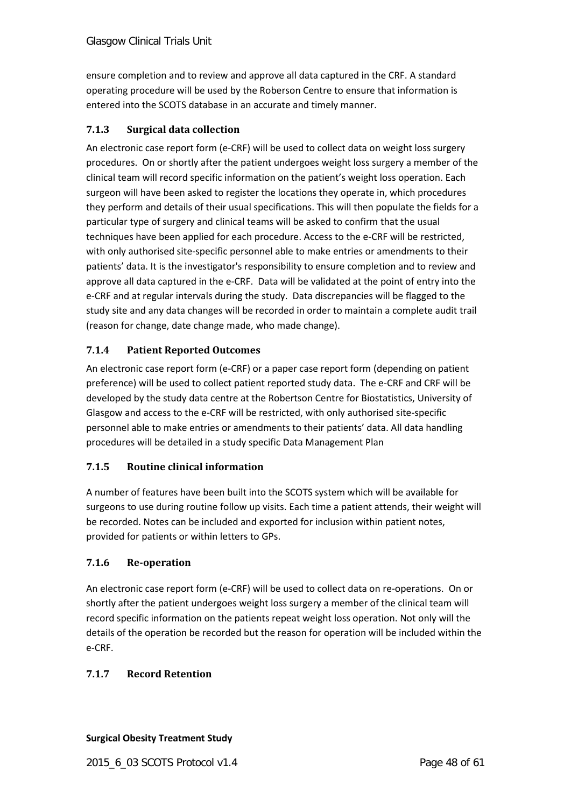ensure completion and to review and approve all data captured in the CRF. A standard operating procedure will be used by the Roberson Centre to ensure that information is entered into the SCOTS database in an accurate and timely manner.

### <span id="page-47-0"></span>**7.1.3 Surgical data collection**

An electronic case report form (e-CRF) will be used to collect data on weight loss surgery procedures. On or shortly after the patient undergoes weight loss surgery a member of the clinical team will record specific information on the patient's weight loss operation. Each surgeon will have been asked to register the locations they operate in, which procedures they perform and details of their usual specifications. This will then populate the fields for a particular type of surgery and clinical teams will be asked to confirm that the usual techniques have been applied for each procedure. Access to the e-CRF will be restricted, with only authorised site-specific personnel able to make entries or amendments to their patients' data. It is the investigator's responsibility to ensure completion and to review and approve all data captured in the e-CRF. Data will be validated at the point of entry into the e-CRF and at regular intervals during the study. Data discrepancies will be flagged to the study site and any data changes will be recorded in order to maintain a complete audit trail (reason for change, date change made, who made change).

### <span id="page-47-1"></span>**7.1.4 Patient Reported Outcomes**

An electronic case report form (e-CRF) or a paper case report form (depending on patient preference) will be used to collect patient reported study data. The e-CRF and CRF will be developed by the study data centre at the Robertson Centre for Biostatistics, University of Glasgow and access to the e-CRF will be restricted, with only authorised site-specific personnel able to make entries or amendments to their patients' data. All data handling procedures will be detailed in a study specific Data Management Plan

### <span id="page-47-2"></span>**7.1.5 Routine clinical information**

A number of features have been built into the SCOTS system which will be available for surgeons to use during routine follow up visits. Each time a patient attends, their weight will be recorded. Notes can be included and exported for inclusion within patient notes, provided for patients or within letters to GPs.

### <span id="page-47-3"></span>**7.1.6 Re-operation**

An electronic case report form (e-CRF) will be used to collect data on re-operations. On or shortly after the patient undergoes weight loss surgery a member of the clinical team will record specific information on the patients repeat weight loss operation. Not only will the details of the operation be recorded but the reason for operation will be included within the e-CRF.

### <span id="page-47-4"></span>**7.1.7 Record Retention**

#### **Surgical Obesity Treatment Study**

2015 6 03 SCOTS Protocol v1.4 Page 48 of 61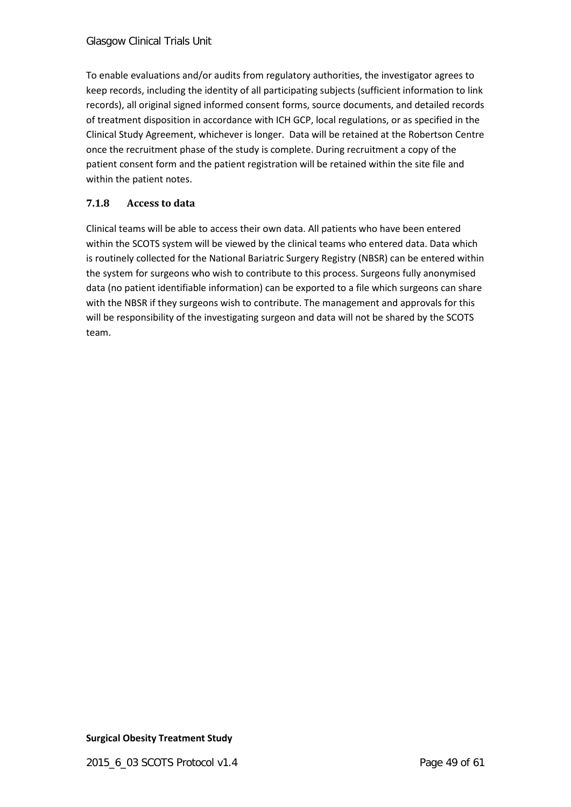To enable evaluations and/or audits from regulatory authorities, the investigator agrees to keep records, including the identity of all participating subjects (sufficient information to link records), all original signed informed consent forms, source documents, and detailed records of treatment disposition in accordance with ICH GCP, local regulations, or as specified in the Clinical Study Agreement, whichever is longer. Data will be retained at the Robertson Centre once the recruitment phase of the study is complete. During recruitment a copy of the patient consent form and the patient registration will be retained within the site file and within the patient notes.

### <span id="page-48-0"></span>**7.1.8 Access to data**

Clinical teams will be able to access their own data. All patients who have been entered within the SCOTS system will be viewed by the clinical teams who entered data. Data which is routinely collected for the National Bariatric Surgery Registry (NBSR) can be entered within the system for surgeons who wish to contribute to this process. Surgeons fully anonymised data (no patient identifiable information) can be exported to a file which surgeons can share with the NBSR if they surgeons wish to contribute. The management and approvals for this will be responsibility of the investigating surgeon and data will not be shared by the SCOTS team.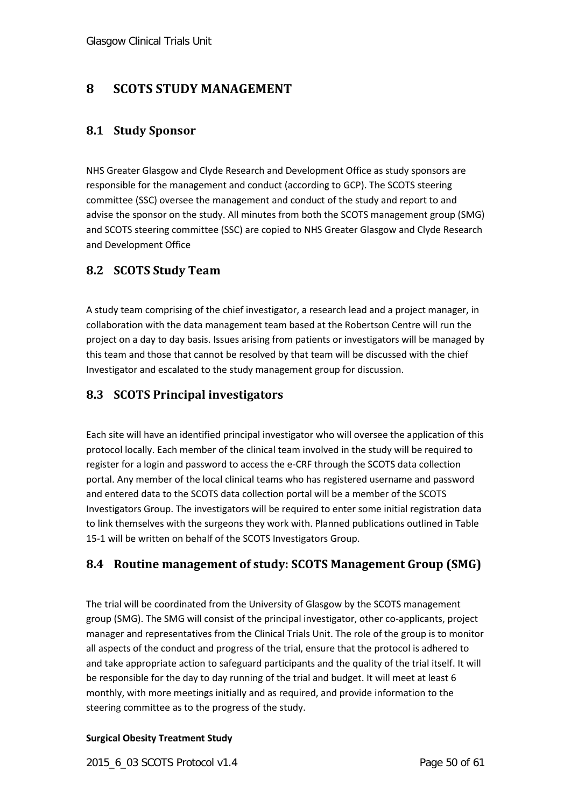### <span id="page-49-0"></span>**8 SCOTS STUDY MANAGEMENT**

### <span id="page-49-1"></span>**8.1 Study Sponsor**

NHS Greater Glasgow and Clyde Research and Development Office as study sponsors are responsible for the management and conduct (according to GCP). The SCOTS steering committee (SSC) oversee the management and conduct of the study and report to and advise the sponsor on the study. All minutes from both the SCOTS management group (SMG) and SCOTS steering committee (SSC) are copied to NHS Greater Glasgow and Clyde Research and Development Office

### <span id="page-49-2"></span>**8.2 SCOTS Study Team**

A study team comprising of the chief investigator, a research lead and a project manager, in collaboration with the data management team based at the Robertson Centre will run the project on a day to day basis. Issues arising from patients or investigators will be managed by this team and those that cannot be resolved by that team will be discussed with the chief Investigator and escalated to the study management group for discussion.

### <span id="page-49-3"></span>**8.3 SCOTS Principal investigators**

Each site will have an identified principal investigator who will oversee the application of this protocol locally. Each member of the clinical team involved in the study will be required to register for a login and password to access the e-CRF through the SCOTS data collection portal. Any member of the local clinical teams who has registered username and password and entered data to the SCOTS data collection portal will be a member of the SCOTS Investigators Group. The investigators will be required to enter some initial registration data to link themselves with the surgeons they work with. Planned publications outlined in [Table](#page-53-1)  [15-1](#page-53-1) will be written on behalf of the SCOTS Investigators Group.

### <span id="page-49-4"></span>**8.4 Routine management of study: SCOTS Management Group (SMG)**

The trial will be coordinated from the University of Glasgow by the SCOTS management group (SMG). The SMG will consist of the principal investigator, other co-applicants, project manager and representatives from the Clinical Trials Unit. The role of the group is to monitor all aspects of the conduct and progress of the trial, ensure that the protocol is adhered to and take appropriate action to safeguard participants and the quality of the trial itself. It will be responsible for the day to day running of the trial and budget. It will meet at least 6 monthly, with more meetings initially and as required, and provide information to the steering committee as to the progress of the study.

### **Surgical Obesity Treatment Study**

2015\_6\_03 SCOTS Protocol v1.4 Page 50 of 61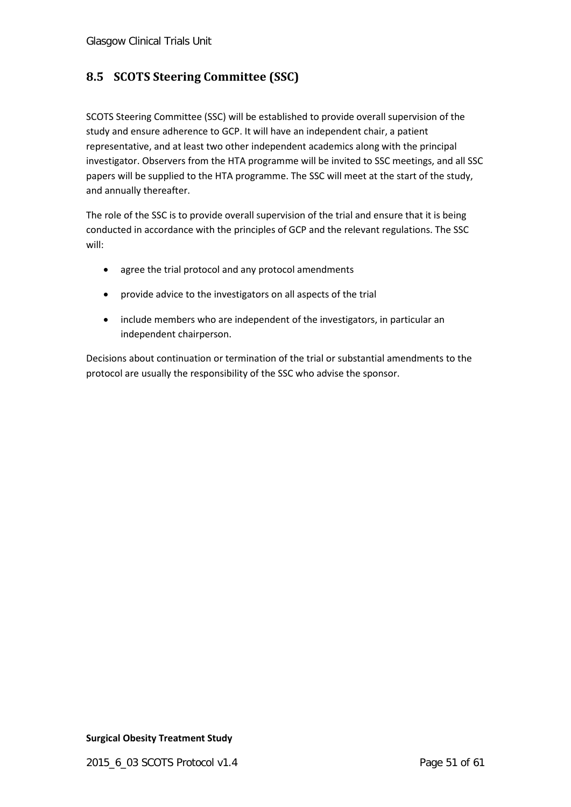### <span id="page-50-0"></span>**8.5 SCOTS Steering Committee (SSC)**

SCOTS Steering Committee (SSC) will be established to provide overall supervision of the study and ensure adherence to GCP. It will have an independent chair, a patient representative, and at least two other independent academics along with the principal investigator. Observers from the HTA programme will be invited to SSC meetings, and all SSC papers will be supplied to the HTA programme. The SSC will meet at the start of the study, and annually thereafter.

The role of the SSC is to provide overall supervision of the trial and ensure that it is being conducted in accordance with the principles of GCP and the relevant regulations. The SSC will:

- agree the trial protocol and any protocol amendments
- provide advice to the investigators on all aspects of the trial
- include members who are independent of the investigators, in particular an independent chairperson.

Decisions about continuation or termination of the trial or substantial amendments to the protocol are usually the responsibility of the SSC who advise the sponsor.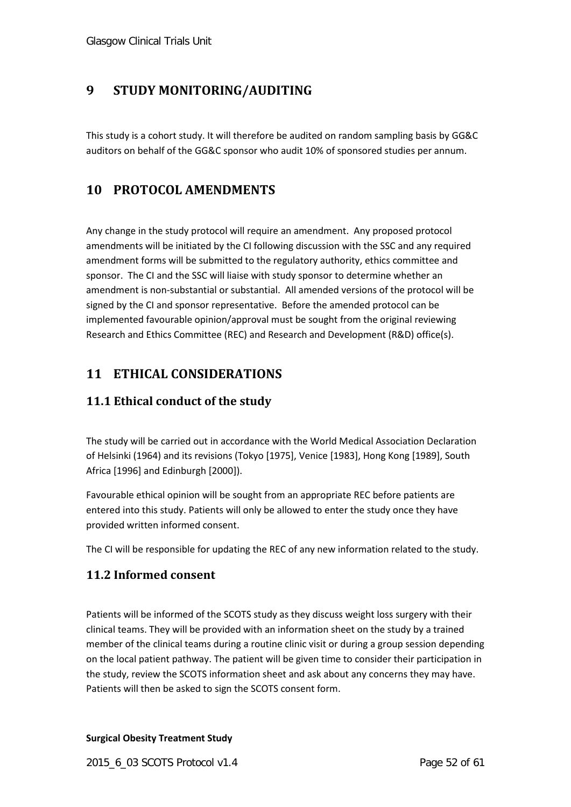### <span id="page-51-0"></span>**9 STUDY MONITORING/AUDITING**

This study is a cohort study. It will therefore be audited on random sampling basis by GG&C auditors on behalf of the GG&C sponsor who audit 10% of sponsored studies per annum.

### <span id="page-51-1"></span>**10 PROTOCOL AMENDMENTS**

Any change in the study protocol will require an amendment. Any proposed protocol amendments will be initiated by the CI following discussion with the SSC and any required amendment forms will be submitted to the regulatory authority, ethics committee and sponsor. The CI and the SSC will liaise with study sponsor to determine whether an amendment is non-substantial or substantial. All amended versions of the protocol will be signed by the CI and sponsor representative. Before the amended protocol can be implemented favourable opinion/approval must be sought from the original reviewing Research and Ethics Committee (REC) and Research and Development (R&D) office(s).

## <span id="page-51-2"></span>**11 ETHICAL CONSIDERATIONS**

### <span id="page-51-3"></span>**11.1 Ethical conduct of the study**

The study will be carried out in accordance with the World Medical Association Declaration of Helsinki (1964) and its revisions (Tokyo [1975], Venice [1983], Hong Kong [1989], South Africa [1996] and Edinburgh [2000]).

Favourable ethical opinion will be sought from an appropriate REC before patients are entered into this study. Patients will only be allowed to enter the study once they have provided written informed consent.

The CI will be responsible for updating the REC of any new information related to the study.

### <span id="page-51-4"></span>**11.2 Informed consent**

Patients will be informed of the SCOTS study as they discuss weight loss surgery with their clinical teams. They will be provided with an information sheet on the study by a trained member of the clinical teams during a routine clinic visit or during a group session depending on the local patient pathway. The patient will be given time to consider their participation in the study, review the SCOTS information sheet and ask about any concerns they may have. Patients will then be asked to sign the SCOTS consent form.

### **Surgical Obesity Treatment Study**

2015\_6\_03 SCOTS Protocol v1.4 Page 52 of 61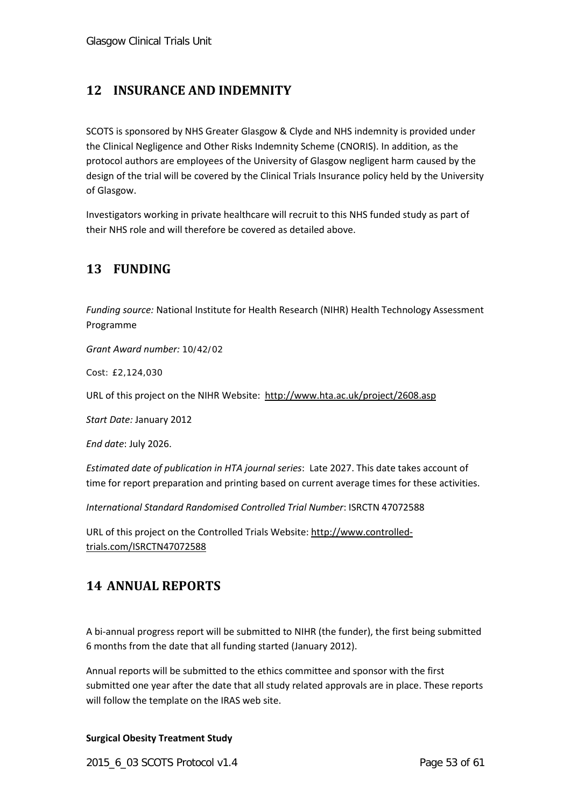### <span id="page-52-0"></span>**12 INSURANCE AND INDEMNITY**

SCOTS is sponsored by NHS Greater Glasgow & Clyde and NHS indemnity is provided under the Clinical Negligence and Other Risks Indemnity Scheme (CNORIS). In addition, as the protocol authors are employees of the University of Glasgow negligent harm caused by the design of the trial will be covered by the Clinical Trials Insurance policy held by the University of Glasgow.

Investigators working in private healthcare will recruit to this NHS funded study as part of their NHS role and will therefore be covered as detailed above.

### <span id="page-52-1"></span>**13 FUNDING**

*Funding source:* National Institute for Health Research (NIHR) Health Technology Assessment Programme

*Grant Award number:* 10/42/02

*Cost:* £2,124,030

URL of this project on the NIHR Website:<http://www.hta.ac.uk/project/2608.asp>

*Start Date:* January 2012

*End date*: July 2026.

*Estimated date of publication in HTA journal series*: Late 2027. This date takes account of time for report preparation and printing based on current average times for these activities.

*International Standard Randomised Controlled Trial Number*: ISRCTN 47072588

URL of this project on the Controlled Trials Website[: http://www.controlled](http://www.controlled-trials.com/ISRCTN47072588)[trials.com/ISRCTN47072588](http://www.controlled-trials.com/ISRCTN47072588)

### <span id="page-52-2"></span>**14 ANNUAL REPORTS**

A bi-annual progress report will be submitted to NIHR (the funder), the first being submitted 6 months from the date that all funding started (January 2012).

Annual reports will be submitted to the ethics committee and sponsor with the first submitted one year after the date that all study related approvals are in place. These reports will follow the template on the IRAS web site.

#### **Surgical Obesity Treatment Study**

2015\_6\_03 SCOTS Protocol v1.4 Page 53 of 61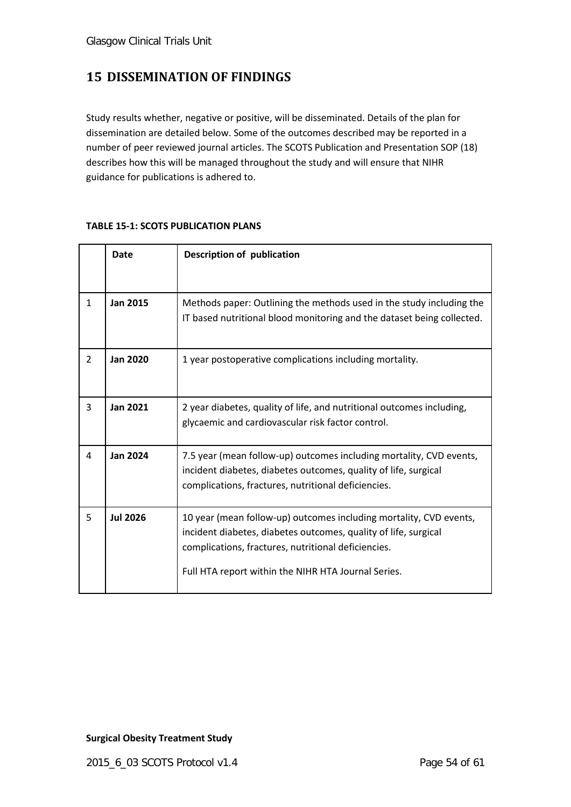### <span id="page-53-0"></span>**15 DISSEMINATION OF FINDINGS**

Study results whether, negative or positive, will be disseminated. Details of the plan for dissemination are detailed below. Some of the outcomes described may be reported in a number of peer reviewed journal articles. The SCOTS Publication and Presentation SOP (18) describes how this will be managed throughout the study and will ensure that NIHR guidance for publications is adhered to.

|                | <b>Date</b>     | <b>Description of publication</b>                                                                                                                                                                                                                   |  |  |  |  |  |  |  |
|----------------|-----------------|-----------------------------------------------------------------------------------------------------------------------------------------------------------------------------------------------------------------------------------------------------|--|--|--|--|--|--|--|
|                |                 |                                                                                                                                                                                                                                                     |  |  |  |  |  |  |  |
| $\mathbf{1}$   | <b>Jan 2015</b> | Methods paper: Outlining the methods used in the study including the<br>IT based nutritional blood monitoring and the dataset being collected.                                                                                                      |  |  |  |  |  |  |  |
| $\overline{2}$ | <b>Jan 2020</b> | 1 year postoperative complications including mortality.                                                                                                                                                                                             |  |  |  |  |  |  |  |
| 3              | <b>Jan 2021</b> | 2 year diabetes, quality of life, and nutritional outcomes including,<br>glycaemic and cardiovascular risk factor control.                                                                                                                          |  |  |  |  |  |  |  |
| 4              | <b>Jan 2024</b> | 7.5 year (mean follow-up) outcomes including mortality, CVD events,<br>incident diabetes, diabetes outcomes, quality of life, surgical<br>complications, fractures, nutritional deficiencies.                                                       |  |  |  |  |  |  |  |
| 5              | <b>Jul 2026</b> | 10 year (mean follow-up) outcomes including mortality, CVD events,<br>incident diabetes, diabetes outcomes, quality of life, surgical<br>complications, fractures, nutritional deficiencies.<br>Full HTA report within the NIHR HTA Journal Series. |  |  |  |  |  |  |  |

### <span id="page-53-1"></span>**TABLE 15-1: SCOTS PUBLICATION PLANS**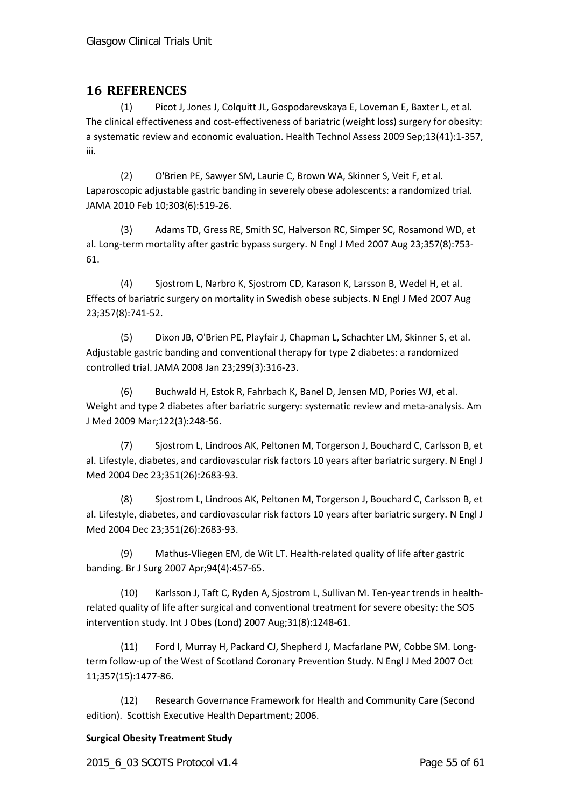### <span id="page-54-0"></span>**16 REFERENCES**

(1) Picot J, Jones J, Colquitt JL, Gospodarevskaya E, Loveman E, Baxter L, et al. The clinical effectiveness and cost-effectiveness of bariatric (weight loss) surgery for obesity: a systematic review and economic evaluation. Health Technol Assess 2009 Sep;13(41):1-357, iii.

(2) O'Brien PE, Sawyer SM, Laurie C, Brown WA, Skinner S, Veit F, et al. Laparoscopic adjustable gastric banding in severely obese adolescents: a randomized trial. JAMA 2010 Feb 10;303(6):519-26.

(3) Adams TD, Gress RE, Smith SC, Halverson RC, Simper SC, Rosamond WD, et al. Long-term mortality after gastric bypass surgery. N Engl J Med 2007 Aug 23;357(8):753- 61.

(4) Sjostrom L, Narbro K, Sjostrom CD, Karason K, Larsson B, Wedel H, et al. Effects of bariatric surgery on mortality in Swedish obese subjects. N Engl J Med 2007 Aug 23;357(8):741-52.

(5) Dixon JB, O'Brien PE, Playfair J, Chapman L, Schachter LM, Skinner S, et al. Adjustable gastric banding and conventional therapy for type 2 diabetes: a randomized controlled trial. JAMA 2008 Jan 23;299(3):316-23.

(6) Buchwald H, Estok R, Fahrbach K, Banel D, Jensen MD, Pories WJ, et al. Weight and type 2 diabetes after bariatric surgery: systematic review and meta-analysis. Am J Med 2009 Mar;122(3):248-56.

(7) Sjostrom L, Lindroos AK, Peltonen M, Torgerson J, Bouchard C, Carlsson B, et al. Lifestyle, diabetes, and cardiovascular risk factors 10 years after bariatric surgery. N Engl J Med 2004 Dec 23;351(26):2683-93.

(8) Sjostrom L, Lindroos AK, Peltonen M, Torgerson J, Bouchard C, Carlsson B, et al. Lifestyle, diabetes, and cardiovascular risk factors 10 years after bariatric surgery. N Engl J Med 2004 Dec 23;351(26):2683-93.

(9) Mathus-Vliegen EM, de Wit LT. Health-related quality of life after gastric banding. Br J Surg 2007 Apr;94(4):457-65.

(10) Karlsson J, Taft C, Ryden A, Sjostrom L, Sullivan M. Ten-year trends in healthrelated quality of life after surgical and conventional treatment for severe obesity: the SOS intervention study. Int J Obes (Lond) 2007 Aug;31(8):1248-61.

(11) Ford I, Murray H, Packard CJ, Shepherd J, Macfarlane PW, Cobbe SM. Longterm follow-up of the West of Scotland Coronary Prevention Study. N Engl J Med 2007 Oct 11;357(15):1477-86.

(12) Research Governance Framework for Health and Community Care (Second edition). Scottish Executive Health Department; 2006.

### **Surgical Obesity Treatment Study**

2015\_6\_03 SCOTS Protocol v1.4 Page 55 of 61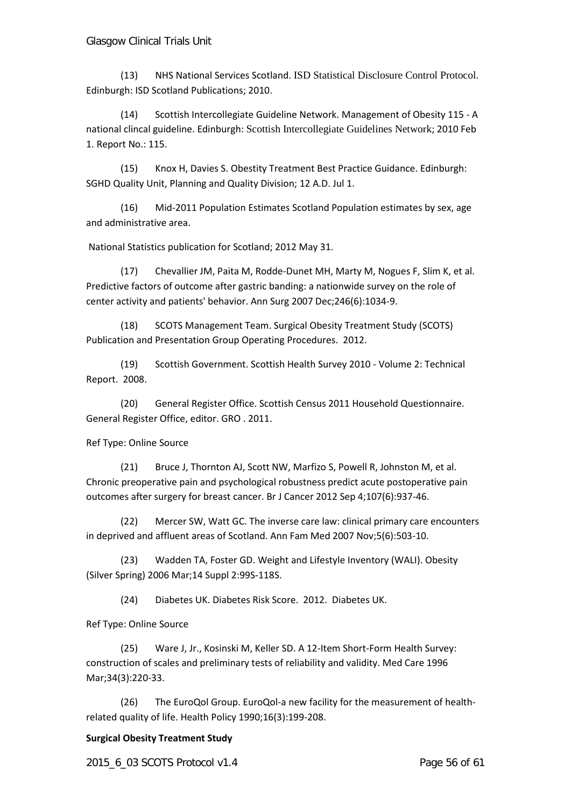(13) NHS National Services Scotland. ISD Statistical Disclosure Control Protocol. Edinburgh: ISD Scotland Publications; 2010.

(14) Scottish Intercollegiate Guideline Network. Management of Obesity 115 - A national clincal guideline. Edinburgh: Scottish Intercollegiate Guidelines Network; 2010 Feb 1. Report No.: 115.

(15) Knox H, Davies S. Obestity Treatment Best Practice Guidance. Edinburgh: SGHD Quality Unit, Planning and Quality Division; 12 A.D. Jul 1.

(16) Mid-2011 Population Estimates Scotland Population estimates by sex, age and administrative area.

National Statistics publication for Scotland; 2012 May 31.

(17) Chevallier JM, Paita M, Rodde-Dunet MH, Marty M, Nogues F, Slim K, et al. Predictive factors of outcome after gastric banding: a nationwide survey on the role of center activity and patients' behavior. Ann Surg 2007 Dec;246(6):1034-9.

(18) SCOTS Management Team. Surgical Obesity Treatment Study (SCOTS) Publication and Presentation Group Operating Procedures. 2012.

(19) Scottish Government. Scottish Health Survey 2010 - Volume 2: Technical Report. 2008.

(20) General Register Office. Scottish Census 2011 Household Questionnaire. General Register Office, editor. GRO . 2011.

Ref Type: Online Source

(21) Bruce J, Thornton AJ, Scott NW, Marfizo S, Powell R, Johnston M, et al. Chronic preoperative pain and psychological robustness predict acute postoperative pain outcomes after surgery for breast cancer. Br J Cancer 2012 Sep 4;107(6):937-46.

(22) Mercer SW, Watt GC. The inverse care law: clinical primary care encounters in deprived and affluent areas of Scotland. Ann Fam Med 2007 Nov;5(6):503-10.

(23) Wadden TA, Foster GD. Weight and Lifestyle Inventory (WALI). Obesity (Silver Spring) 2006 Mar;14 Suppl 2:99S-118S.

(24) Diabetes UK. Diabetes Risk Score. 2012. Diabetes UK.

Ref Type: Online Source

(25) Ware J, Jr., Kosinski M, Keller SD. A 12-Item Short-Form Health Survey: construction of scales and preliminary tests of reliability and validity. Med Care 1996 Mar;34(3):220-33.

(26) The EuroQol Group. EuroQol-a new facility for the measurement of healthrelated quality of life. Health Policy 1990;16(3):199-208.

#### **Surgical Obesity Treatment Study**

2015 6 03 SCOTS Protocol v1.4 Page 56 of 61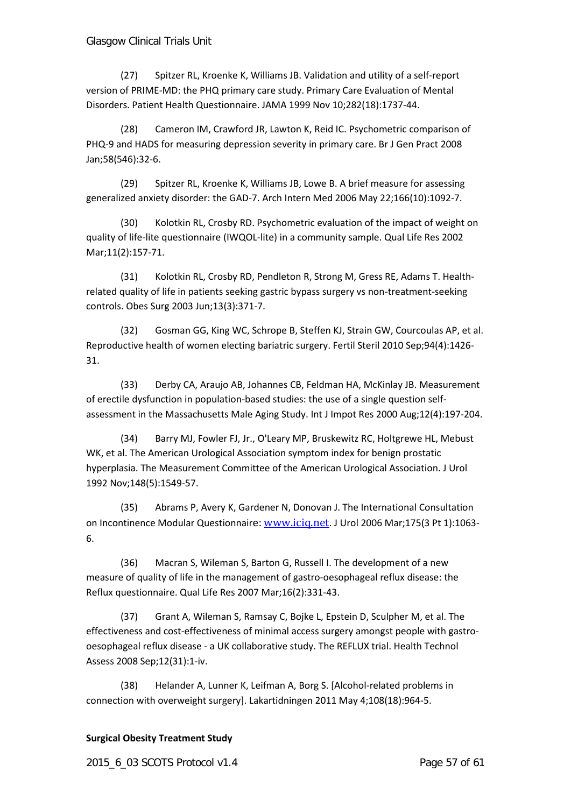(27) Spitzer RL, Kroenke K, Williams JB. Validation and utility of a self-report version of PRIME-MD: the PHQ primary care study. Primary Care Evaluation of Mental Disorders. Patient Health Questionnaire. JAMA 1999 Nov 10;282(18):1737-44.

(28) Cameron IM, Crawford JR, Lawton K, Reid IC. Psychometric comparison of PHQ-9 and HADS for measuring depression severity in primary care. Br J Gen Pract 2008 Jan;58(546):32-6.

(29) Spitzer RL, Kroenke K, Williams JB, Lowe B. A brief measure for assessing generalized anxiety disorder: the GAD-7. Arch Intern Med 2006 May 22;166(10):1092-7.

(30) Kolotkin RL, Crosby RD. Psychometric evaluation of the impact of weight on quality of life-lite questionnaire (IWQOL-lite) in a community sample. Qual Life Res 2002 Mar;11(2):157-71.

(31) Kolotkin RL, Crosby RD, Pendleton R, Strong M, Gress RE, Adams T. Healthrelated quality of life in patients seeking gastric bypass surgery vs non-treatment-seeking controls. Obes Surg 2003 Jun;13(3):371-7.

(32) Gosman GG, King WC, Schrope B, Steffen KJ, Strain GW, Courcoulas AP, et al. Reproductive health of women electing bariatric surgery. Fertil Steril 2010 Sep;94(4):1426- 31.

(33) Derby CA, Araujo AB, Johannes CB, Feldman HA, McKinlay JB. Measurement of erectile dysfunction in population-based studies: the use of a single question selfassessment in the Massachusetts Male Aging Study. Int J Impot Res 2000 Aug;12(4):197-204.

(34) Barry MJ, Fowler FJ, Jr., O'Leary MP, Bruskewitz RC, Holtgrewe HL, Mebust WK, et al. The American Urological Association symptom index for benign prostatic hyperplasia. The Measurement Committee of the American Urological Association. J Urol 1992 Nov;148(5):1549-57.

(35) Abrams P, Avery K, Gardener N, Donovan J. The International Consultation on Incontinence Modular Questionnaire: [www.iciq.net](http://www.iciq.net/). J Urol 2006 Mar;175(3 Pt 1):1063-6.

(36) Macran S, Wileman S, Barton G, Russell I. The development of a new measure of quality of life in the management of gastro-oesophageal reflux disease: the Reflux questionnaire. Qual Life Res 2007 Mar;16(2):331-43.

(37) Grant A, Wileman S, Ramsay C, Bojke L, Epstein D, Sculpher M, et al. The effectiveness and cost-effectiveness of minimal access surgery amongst people with gastrooesophageal reflux disease - a UK collaborative study. The REFLUX trial. Health Technol Assess 2008 Sep;12(31):1-iv.

(38) Helander A, Lunner K, Leifman A, Borg S. [Alcohol-related problems in connection with overweight surgery]. Lakartidningen 2011 May 4;108(18):964-5.

### **Surgical Obesity Treatment Study**

2015\_6\_03 SCOTS Protocol v1.4 Page 57 of 61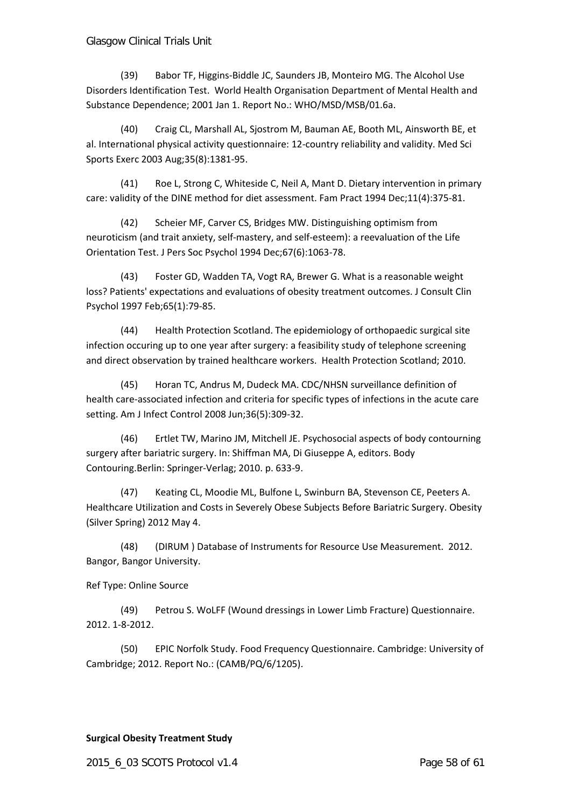(39) Babor TF, Higgins-Biddle JC, Saunders JB, Monteiro MG. The Alcohol Use Disorders Identification Test. World Health Organisation Department of Mental Health and Substance Dependence; 2001 Jan 1. Report No.: WHO/MSD/MSB/01.6a.

(40) Craig CL, Marshall AL, Sjostrom M, Bauman AE, Booth ML, Ainsworth BE, et al. International physical activity questionnaire: 12-country reliability and validity. Med Sci Sports Exerc 2003 Aug;35(8):1381-95.

(41) Roe L, Strong C, Whiteside C, Neil A, Mant D. Dietary intervention in primary care: validity of the DINE method for diet assessment. Fam Pract 1994 Dec;11(4):375-81.

(42) Scheier MF, Carver CS, Bridges MW. Distinguishing optimism from neuroticism (and trait anxiety, self-mastery, and self-esteem): a reevaluation of the Life Orientation Test. J Pers Soc Psychol 1994 Dec;67(6):1063-78.

(43) Foster GD, Wadden TA, Vogt RA, Brewer G. What is a reasonable weight loss? Patients' expectations and evaluations of obesity treatment outcomes. J Consult Clin Psychol 1997 Feb;65(1):79-85.

(44) Health Protection Scotland. The epidemiology of orthopaedic surgical site infection occuring up to one year after surgery: a feasibility study of telephone screening and direct observation by trained healthcare workers. Health Protection Scotland; 2010.

(45) Horan TC, Andrus M, Dudeck MA. CDC/NHSN surveillance definition of health care-associated infection and criteria for specific types of infections in the acute care setting. Am J Infect Control 2008 Jun;36(5):309-32.

(46) Ertlet TW, Marino JM, Mitchell JE. Psychosocial aspects of body contourning surgery after bariatric surgery. In: Shiffman MA, Di Giuseppe A, editors. Body Contouring.Berlin: Springer-Verlag; 2010. p. 633-9.

(47) Keating CL, Moodie ML, Bulfone L, Swinburn BA, Stevenson CE, Peeters A. Healthcare Utilization and Costs in Severely Obese Subjects Before Bariatric Surgery. Obesity (Silver Spring) 2012 May 4.

(48) (DIRUM ) Database of Instruments for Resource Use Measurement. 2012. Bangor, Bangor University.

Ref Type: Online Source

(49) Petrou S. WoLFF (Wound dressings in Lower Limb Fracture) Questionnaire. 2012. 1-8-2012.

(50) EPIC Norfolk Study. Food Frequency Questionnaire. Cambridge: University of Cambridge; 2012. Report No.: (CAMB/PQ/6/1205).

### **Surgical Obesity Treatment Study**

2015\_6\_03 SCOTS Protocol v1.4 Page 58 of 61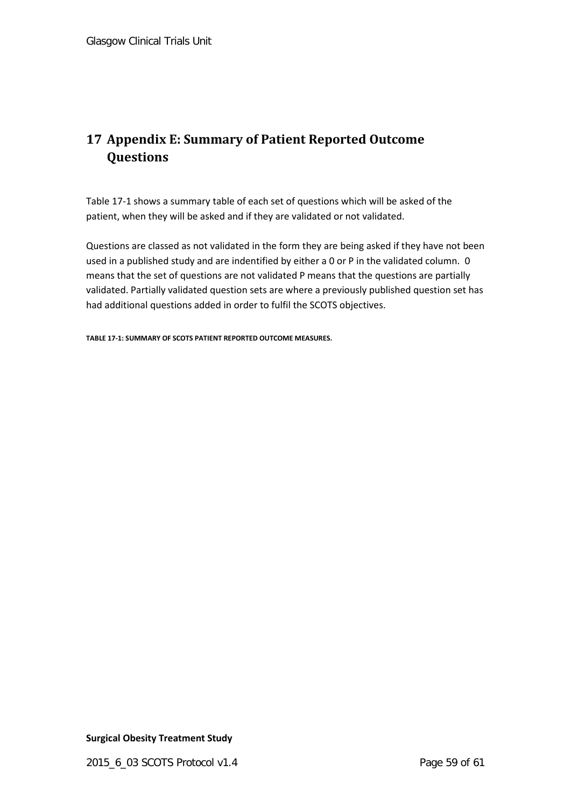## <span id="page-58-0"></span>**17 Appendix E: Summary of Patient Reported Outcome Questions**

[Table 17-1](#page-58-1) shows a summary table of each set of questions which will be asked of the patient, when they will be asked and if they are validated or not validated.

Questions are classed as not validated in the form they are being asked if they have not been used in a published study and are indentified by either a 0 or P in the validated column. 0 means that the set of questions are not validated P means that the questions are partially validated. Partially validated question sets are where a previously published question set has had additional questions added in order to fulfil the SCOTS objectives.

<span id="page-58-1"></span>**TABLE 17-1: SUMMARY OF SCOTS PATIENT REPORTED OUTCOME MEASURES.**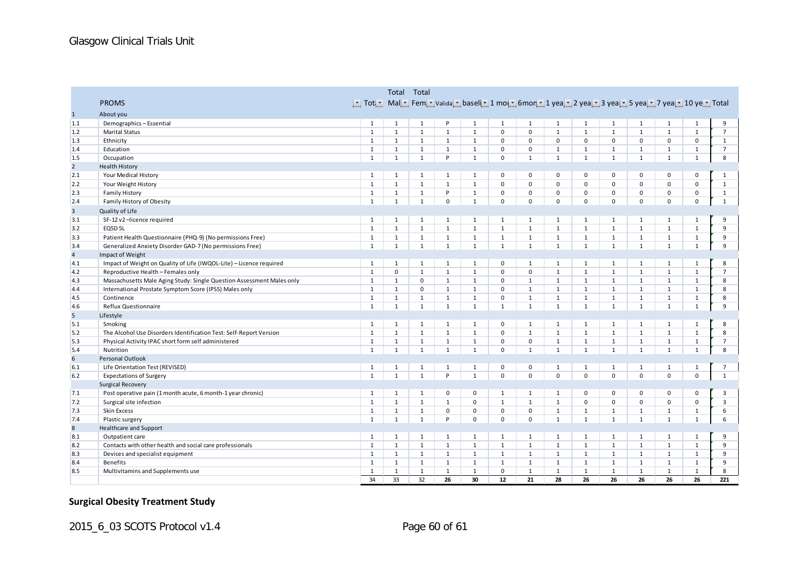|                | Total Total                                                                                                                |              |              |              |              |              |              |              |              |              |              |              |              |                |                |
|----------------|----------------------------------------------------------------------------------------------------------------------------|--------------|--------------|--------------|--------------|--------------|--------------|--------------|--------------|--------------|--------------|--------------|--------------|----------------|----------------|
|                | <b>PROMS</b>                                                                                                               |              |              |              |              |              |              |              |              |              |              |              |              |                |                |
| 1              | ▼  Tot ▼  Mal ▼  Fem ▼ Valida ▼  basel ▼ 1 mol ▼ 6mon ▼ 1 yea ▼ 2 yea ▼ 3 yea ▼ 5 yea ▼ 7 yea ▼ 10 ye ▼ Total<br>About you |              |              |              |              |              |              |              |              |              |              |              |              |                |                |
| 1.1            | Demographics - Essential                                                                                                   | $\mathbf{1}$ | $\mathbf{1}$ | $\mathbf{1}$ | P            | $\mathbf{1}$ | 1            | 1            | 1            | $\mathbf{1}$ | 1            | $\mathbf{1}$ | $\mathbf{1}$ | 1              | 9              |
| 1.2            | <b>Marital Status</b>                                                                                                      | $\mathbf{1}$ | $\mathbf{1}$ | $\mathbf{1}$ | $\mathbf{1}$ | $\mathbf{1}$ | $\mathbf 0$  | $\mathbf 0$  | $\mathbf{1}$ | $\mathbf{1}$ | $\mathbf{1}$ | $\mathbf{1}$ | $\mathbf{1}$ | $\mathbf{1}$   | $\overline{7}$ |
| 1.3            | Ethnicity                                                                                                                  | $\mathbf{1}$ | $\mathbf{1}$ | $\mathbf{1}$ | $\mathbf{1}$ | $\mathbf{1}$ | $\mathbf 0$  | $\mathbf 0$  | $\mathbf 0$  | $\mathbf 0$  | $\mathbf 0$  | $\mathbf 0$  | $\mathsf 0$  | $\mathbf 0$    | $\mathbf{1}$   |
| 1.4            | Education                                                                                                                  | $\mathbf{1}$ | $\mathbf{1}$ | $\mathbf{1}$ | $\mathbf{1}$ | $\mathbf{1}$ | $\mathbf 0$  | $\mathbf 0$  | $\mathbf{1}$ | $\mathbf 1$  | $\mathbf{1}$ | $\mathbf{1}$ | $\mathbf{1}$ | $\mathbf{1}$   | $\overline{7}$ |
| 1.5            | Occupation                                                                                                                 | $\mathbf{1}$ | $\mathbf{1}$ | $\mathbf{1}$ | P            | $\mathbf{1}$ | $\mathbf 0$  | $\mathbf{1}$ | $\mathbf{1}$ | $\mathbf{1}$ | $\mathbf{1}$ | $\mathbf{1}$ | $\mathbf{1}$ | $\mathbf{1}$   | 8              |
| $\overline{2}$ | <b>Health History</b>                                                                                                      |              |              |              |              |              |              |              |              |              |              |              |              |                |                |
| 2.1            | Your Medical History                                                                                                       | $\mathbf{1}$ | $\mathbf{1}$ | $\mathbf{1}$ | 1            | $\mathbf{1}$ | $\mathbf 0$  | 0            | $\mathbf 0$  | $\mathbf 0$  | $\mathbf 0$  | $\mathbf 0$  | $\mathbf 0$  | $\mathbf 0$    | $\mathbf{1}$   |
| 2.2            | Your Weight History                                                                                                        | $\mathbf{1}$ | $\mathbf{1}$ | $\mathbf{1}$ | $\mathbf{1}$ | $\mathbf{1}$ | $\mathsf 0$  | $\mathbf 0$  | $\mathsf 0$  | $\mathbf 0$  | $\mathsf 0$  | $\mathbf 0$  | $\mathbf 0$  | $\mathbf 0$    | $\mathbf{1}$   |
| 2.3            | <b>Family History</b>                                                                                                      | $\mathbf{1}$ | $\mathbf{1}$ | $\mathbf{1}$ | $\sf P$      | $\mathbf{1}$ | $\mathbf 0$  | 0            | 0            | $\mathsf 0$  | $\mathbf 0$  | $\mathbf 0$  | $\mathbf 0$  | $\mathbf 0$    | $\mathbf{1}$   |
| 2.4            | Family History of Obesity                                                                                                  | $\mathbf{1}$ | $\mathbf{1}$ | $\mathbf{1}$ | $\mathbf 0$  | $\mathbf{1}$ | $\mathsf 0$  | $\mathbf{0}$ | $\mathsf 0$  | $\mathbf 0$  | $\mathbf 0$  | $\mathbf 0$  | $\mathbf 0$  | $\mathbf 0$    | $\mathbf{1}$   |
| $\overline{3}$ | Quality of Life                                                                                                            |              |              |              |              |              |              |              |              |              |              |              |              |                |                |
| 3.1            | SF-12 v2-licence required                                                                                                  | 1            | $\mathbf{1}$ | 1            | 1            | $\mathbf{1}$ | 1            | 1            | 1            | 1            | 1            | 1            | 1            | 1              | 9              |
| 3.2            | <b>EQ5D 5L</b>                                                                                                             | $\mathbf{1}$ | $\mathbf{1}$ | $\mathbf{1}$ | $\mathbf{1}$ | $\mathbf{1}$ | $\mathbf{1}$ | $\mathbf{1}$ | $\mathbf{1}$ | $\mathbf{1}$ | $\mathbf{1}$ | $\mathbf{1}$ | $\mathbf{1}$ | $\mathbf{1}$   | 9              |
| 3.3            | Patient Health Questionnaire (PHQ-9) (No permissions Free)                                                                 | $\mathbf{1}$ | $\mathbf{1}$ | $\mathbf{1}$ | $\mathbf{1}$ | $\mathbf{1}$ | $\mathbf{1}$ | $\mathbf{1}$ | $\mathbf{1}$ | $\mathbf{1}$ | $\mathbf{1}$ | $\mathbf{1}$ | $\mathbf{1}$ | $\mathbf{1}$   | 9              |
| 3.4            | Generalized Anxiety Disorder GAD-7 (No permissions Free)                                                                   | $\mathbf{1}$ | $\mathbf{1}$ | $\mathbf{1}$ | $\mathbf{1}$ | $\mathbf{1}$ | $\mathbf{1}$ | $\mathbf{1}$ | $\mathbf{1}$ | $\mathbf{1}$ | $\mathbf{1}$ | $\mathbf{1}$ | $\mathbf{1}$ | $\mathbf{1}$   | 9              |
| $\overline{a}$ | Impact of Weight                                                                                                           |              |              |              |              |              |              |              |              |              |              |              |              |                |                |
| 4.1            | Impact of Weight on Quality of Life (IWQOL-Lite) - Licence required                                                        | 1            | $\mathbf{1}$ | 1            | 1            | $\mathbf{1}$ | $\mathbf 0$  | 1            | $\mathbf{1}$ | 1            | 1            | 1            | 1            | $\mathbf{1}$   | 8              |
| 4.2            | Reproductive Health - Females only                                                                                         | $\mathbf{1}$ | $\mathbf 0$  | $\mathbf{1}$ | $\mathbf{1}$ | $\mathbf{1}$ | $\mathsf 0$  | $\mathbf 0$  | $\mathbf{1}$ | $\mathbf{1}$ | $\mathbf{1}$ | $\mathbf{1}$ | $\mathbf{1}$ | $\mathbf{1}$   | $\overline{7}$ |
| 4.3            | Massachusetts Male Aging Study: Single Question Assessment Males only                                                      | $\mathbf{1}$ | $\mathbf{1}$ | $\mathbf 0$  | $\mathbf{1}$ | $\mathbf{1}$ | $\mathbf 0$  | $\mathbf{1}$ | $\mathbf{1}$ | $\mathbf{1}$ | $\mathbf{1}$ | 1            | $\mathbf{1}$ | $\mathbf{1}$   | 8              |
| 4.4            | International Prostate Symptom Score (IPSS) Males only                                                                     | $\mathbf{1}$ | $\mathbf{1}$ | $\mathbf 0$  | 1            | $\mathbf{1}$ | $\mathbf 0$  | 1            | 1            | $\mathbf{1}$ | $\mathbf{1}$ | 1            | $\mathbf{1}$ | $\mathbf{1}$   | 8              |
| 4.5            | Continence                                                                                                                 | $\mathbf{1}$ | $\mathbf{1}$ | $\mathbf{1}$ | $\mathbf{1}$ | $\mathbf{1}$ | $\mathbf 0$  | $\mathbf{1}$ | $\mathbf{1}$ | $\mathbf{1}$ | $\mathbf{1}$ | $\mathbf{1}$ | $\mathbf{1}$ | $\mathbf{1}$   | 8              |
| 4.6            | Reflux Questionnaire                                                                                                       | 1            | $\mathbf{1}$ | $\mathbf{1}$ | 1            | $\mathbf{1}$ | 1            | $\mathbf{1}$ | 1            | $\mathbf{1}$ | 1            | 1            | $\mathbf{1}$ | $\mathbf{1}$   | 9              |
| 5 <sup>5</sup> | Lifestyle                                                                                                                  |              |              |              |              |              |              |              |              |              |              |              |              |                |                |
| 5.1            | Smoking                                                                                                                    | $\mathbf{1}$ | $\mathbf{1}$ | 1            | 1            | $\mathbf{1}$ | $\mathbf 0$  | $\mathbf{1}$ | $\mathbf{1}$ | $\mathbf{1}$ | 1            | $\mathbf{1}$ | $\mathbf{1}$ | $\mathbf{1}$   | 8              |
| 5.2            | The Alcohol Use Disorders Identification Test: Self-Report Version                                                         | $\mathbf{1}$ | $\mathbf{1}$ | $\mathbf{1}$ | $\mathbf{1}$ | $\mathbf{1}$ | $\mathbf 0$  | $\mathbf{1}$ | $\mathbf{1}$ | $\mathbf{1}$ | $\mathbf{1}$ | $\mathbf{1}$ | $\mathbf{1}$ | $\mathbf{1}$   | 8              |
| 5.3            | Physical Activity IPAC short form self administered                                                                        | $\mathbf{1}$ | $\mathbf{1}$ | $\mathbf{1}$ | $\mathbf{1}$ | $\mathbf{1}$ | $\mathsf 0$  | 0            | $\mathbf{1}$ | $\mathbf{1}$ | $\mathbf{1}$ | $\mathbf{1}$ | $\mathbf{1}$ | $\mathbf{1}$   | $\overline{7}$ |
| 5.4            | Nutrition                                                                                                                  | $\mathbf{1}$ | $\mathbf{1}$ | $\mathbf{1}$ | $\mathbf{1}$ | $\mathbf{1}$ | $\mathbf{0}$ | $\mathbf{1}$ | $\mathbf{1}$ | $\mathbf{1}$ | $\mathbf{1}$ | $\mathbf{1}$ | $\mathbf{1}$ | $\mathbf{1}$   | 8              |
| 6              | Personal Outlook                                                                                                           |              |              |              |              |              |              |              |              |              |              |              |              |                |                |
| 6.1            | Life Orientation Test (REVISED)                                                                                            | 1            | $\mathbf{1}$ | $\mathbf{1}$ | $\mathbf{1}$ | $\mathbf{1}$ | $\mathbf 0$  | 0            | $\mathbf{1}$ | $\mathbf{1}$ | 1            | $\mathbf{1}$ | $\mathbf{1}$ | $\mathbf{1}$   | $\overline{7}$ |
| 6.2            | <b>Expectations of Surgery</b>                                                                                             | $\mathbf{1}$ | $\mathbf{1}$ | $\mathbf{1}$ | P            | $\mathbf{1}$ | $\mathbf 0$  | $\mathbf 0$  | $\mathbf 0$  | $\Omega$     | $\mathbf 0$  | $\mathbf 0$  | $\mathbf 0$  | $\mathbf 0$    | $\mathbf{1}$   |
|                | <b>Surgical Recovery</b>                                                                                                   |              |              |              |              |              |              |              |              |              |              |              |              |                |                |
| 7.1            | Post operative pain (1 month acute, 6 month-1 year chronic)                                                                | 1            | $\mathbf{1}$ | $\mathbf{1}$ | $\mathbf 0$  | 0            | $\mathbf{1}$ | 1            | $\mathbf{1}$ | $\mathsf 0$  | 0            | 0            | $\mathbf 0$  | 0              | 3              |
| 7.2            | Surgical site infection                                                                                                    | $\mathbf{1}$ | $\mathbf{1}$ | $\mathbf{1}$ | $\mathbf{1}$ | $\mathbf 0$  | $\mathbf{1}$ | $\mathbf{1}$ | $\mathbf{1}$ | $\mathbf 0$  | $\mathbf 0$  | $\mathbf 0$  | $\mathbf 0$  | $\mathbf 0$    | 3              |
| 7.3            | Skin Excess                                                                                                                | $\mathbf{1}$ | $\mathbf{1}$ | $\mathbf{1}$ | $\mathbf 0$  | $\mathsf 0$  | $\mathbf 0$  | 0            | $\mathbf{1}$ | $\mathbf{1}$ | $\mathbf{1}$ | $\mathbf{1}$ | $\mathbf{1}$ | $\mathbf{1}$   | 6              |
| 7.4            | Plastic surgery                                                                                                            | 1            | $\mathbf{1}$ | $\mathbf{1}$ | P            | $\mathbf 0$  | $\mathbf 0$  | $\mathbf 0$  | $\mathbf{1}$ | $\mathbf{1}$ | $\mathbf{1}$ | $\mathbf{1}$ | $\mathbf{1}$ | $\mathbf{1}$   | 6              |
| 8              | <b>Healthcare and Support</b>                                                                                              |              |              |              |              |              |              |              |              |              |              |              |              |                |                |
| 8.1            | Outpatient care                                                                                                            | $\mathbf{1}$ | $\mathbf{1}$ | 1            | 1            | $\mathbf{1}$ | 1            | 1            | $\mathbf{1}$ | 1            | 1            | $\mathbf{1}$ | 1            | 1              | 9              |
| 8.2            | Contacts with other health and social care professionals                                                                   | $\mathbf{1}$ | $\mathbf{1}$ | $\mathbf{1}$ | 1            | $\mathbf{1}$ | 1            | $\mathbf{1}$ | $\mathbf{1}$ | $\mathbf{1}$ | 1            | $\mathbf{1}$ | $\mathbf{1}$ | $\mathbf{1}$   | 9              |
| 8.3            | Devices and specialist equipment                                                                                           | $\mathbf{1}$ | $\mathbf{1}$ | $\mathbf{1}$ | $\mathbf{1}$ | $\mathbf{1}$ | $\mathbf{1}$ | $\mathbf{1}$ | $\mathbf{1}$ | $\mathbf{1}$ | $\mathbf{1}$ | $\mathbf{1}$ | $\mathbf{1}$ | $\mathbf{1}$   | 9              |
| 8.4            | <b>Benefits</b>                                                                                                            | $\mathbf{1}$ | $\mathbf{1}$ | $\mathbf{1}$ | 1            | $\mathbf{1}$ | 1            | 1            | $\mathbf{1}$ | $\mathbf{1}$ | 1            | $\mathbf{1}$ | $\mathbf{1}$ | $\mathbf{1}$   | 9              |
| 8.5            | Multivitamins and Supplements use                                                                                          | $\mathbf{1}$ | $\mathbf{1}$ | $\mathbf{1}$ | $\mathbf{1}$ | $\mathbf{1}$ | $\mathbf 0$  | $\mathbf{1}$ | $\mathbf{1}$ | $\mathbf{1}$ | $\mathbf{1}$ | $\mathbf{1}$ | $\mathbf{1}$ | $\overline{1}$ | 8              |
|                |                                                                                                                            | 34           | 33           | 32           | 26           | 30           | 12           | 21           | 28           | 26           | 26           | 26           | 26           | 26             | 221            |